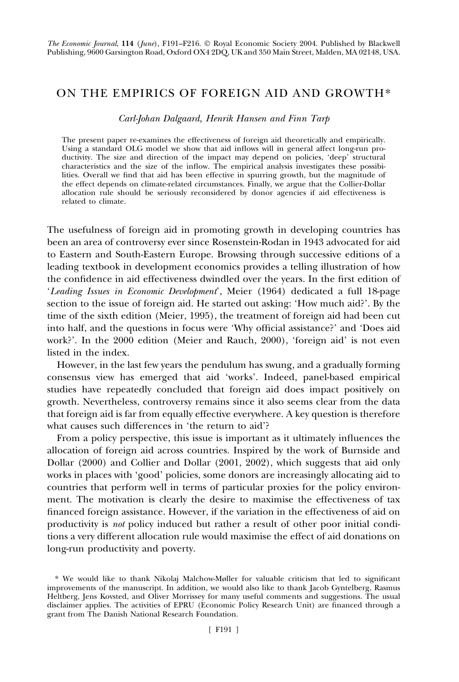# ON THE EMPIRICS OF FOREIGN AID AND GROWTH\*

Carl-Johan Dalgaard, Henrik Hansen and Finn Tarp

The present paper re-examines the effectiveness of foreign aid theoretically and empirically. Using a standard OLG model we show that aid inflows will in general affect long-run productivity. The size and direction of the impact may depend on policies, 'deep' structural characteristics and the size of the inflow. The empirical analysis investigates these possibilities. Overall we find that aid has been effective in spurring growth, but the magnitude of the effect depends on climate-related circumstances. Finally, we argue that the Collier-Dollar allocation rule should be seriously reconsidered by donor agencies if aid effectiveness is related to climate.

The usefulness of foreign aid in promoting growth in developing countries has been an area of controversy ever since Rosenstein-Rodan in 1943 advocated for aid to Eastern and South-Eastern Europe. Browsing through successive editions of a leading textbook in development economics provides a telling illustration of how the confidence in aid effectiveness dwindled over the years. In the first edition of 'Leading Issues in Economic Development', Meier (1964) dedicated a full 18-page section to the issue of foreign aid. He started out asking: 'How much aid?'. By the time of the sixth edition (Meier, 1995), the treatment of foreign aid had been cut into half, and the questions in focus were 'Why official assistance?' and 'Does aid work?'. In the 2000 edition (Meier and Rauch, 2000), 'foreign aid' is not even listed in the index.

However, in the last few years the pendulum has swung, and a gradually forming consensus view has emerged that aid 'works'. Indeed, panel-based empirical studies have repeatedly concluded that foreign aid does impact positively on growth. Nevertheless, controversy remains since it also seems clear from the data that foreign aid is far from equally effective everywhere. A key question is therefore what causes such differences in 'the return to aid'?

From a policy perspective, this issue is important as it ultimately influences the allocation of foreign aid across countries. Inspired by the work of Burnside and Dollar (2000) and Collier and Dollar (2001, 2002), which suggests that aid only works in places with 'good' policies, some donors are increasingly allocating aid to countries that perform well in terms of particular proxies for the policy environment. The motivation is clearly the desire to maximise the effectiveness of tax financed foreign assistance. However, if the variation in the effectiveness of aid on productivity is not policy induced but rather a result of other poor initial conditions a very different allocation rule would maximise the effect of aid donations on long-run productivity and poverty.

<sup>\*</sup> We would like to thank Nikolaj Malchow-Møller for valuable criticism that led to significant improvements of the manuscript. In addition, we would also like to thank Jacob Gyntelberg, Rasmus Heltberg, Jens Kovsted, and Oliver Morrissey for many useful comments and suggestions. The usual disclaimer applies. The activities of EPRU (Economic Policy Research Unit) are financed through a grant from The Danish National Research Foundation.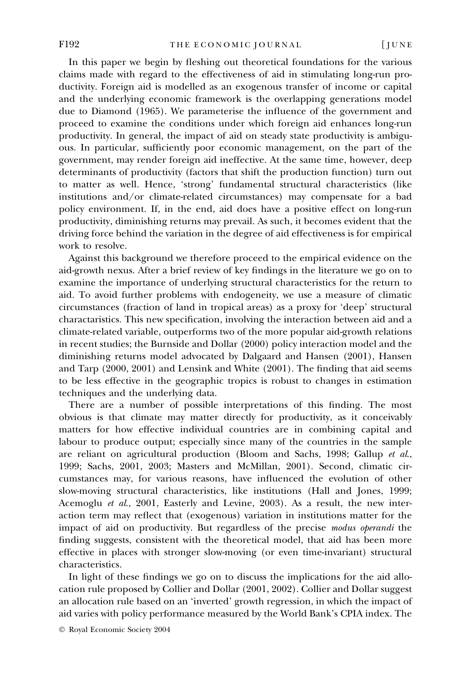In this paper we begin by fleshing out theoretical foundations for the various claims made with regard to the effectiveness of aid in stimulating long-run productivity. Foreign aid is modelled as an exogenous transfer of income or capital and the underlying economic framework is the overlapping generations model due to Diamond (1965). We parameterise the influence of the government and proceed to examine the conditions under which foreign aid enhances long-run productivity. In general, the impact of aid on steady state productivity is ambiguous. In particular, sufficiently poor economic management, on the part of the government, may render foreign aid ineffective. At the same time, however, deep determinants of productivity (factors that shift the production function) turn out to matter as well. Hence, 'strong' fundamental structural characteristics (like institutions and/or climate-related circumstances) may compensate for a bad policy environment. If, in the end, aid does have a positive effect on long-run productivity, diminishing returns may prevail. As such, it becomes evident that the driving force behind the variation in the degree of aid effectiveness is for empirical work to resolve.

Against this background we therefore proceed to the empirical evidence on the aid-growth nexus. After a brief review of key findings in the literature we go on to examine the importance of underlying structural characteristics for the return to aid. To avoid further problems with endogeneity, we use a measure of climatic circumstances (fraction of land in tropical areas) as a proxy for 'deep' structural charactaristics. This new specification, involving the interaction between aid and a climate-related variable, outperforms two of the more popular aid-growth relations in recent studies; the Burnside and Dollar (2000) policy interaction model and the diminishing returns model advocated by Dalgaard and Hansen (2001), Hansen and Tarp (2000, 2001) and Lensink and White (2001). The finding that aid seems to be less effective in the geographic tropics is robust to changes in estimation techniques and the underlying data.

There are a number of possible interpretations of this finding. The most obvious is that climate may matter directly for productivity, as it conceivably matters for how effective individual countries are in combining capital and labour to produce output; especially since many of the countries in the sample are reliant on agricultural production (Bloom and Sachs, 1998; Gallup et al., 1999; Sachs, 2001, 2003; Masters and McMillan, 2001). Second, climatic circumstances may, for various reasons, have influenced the evolution of other slow-moving structural characteristics, like institutions (Hall and Jones, 1999; Acemoglu et al., 2001, Easterly and Levine, 2003). As a result, the new interaction term may reflect that (exogenous) variation in institutions matter for the impact of aid on productivity. But regardless of the precise modus operandi the finding suggests, consistent with the theoretical model, that aid has been more effective in places with stronger slow-moving (or even time-invariant) structural characteristics.

In light of these findings we go on to discuss the implications for the aid allocation rule proposed by Collier and Dollar (2001, 2002). Collier and Dollar suggest an allocation rule based on an 'inverted' growth regression, in which the impact of aid varies with policy performance measured by the World Bank's CPIA index. The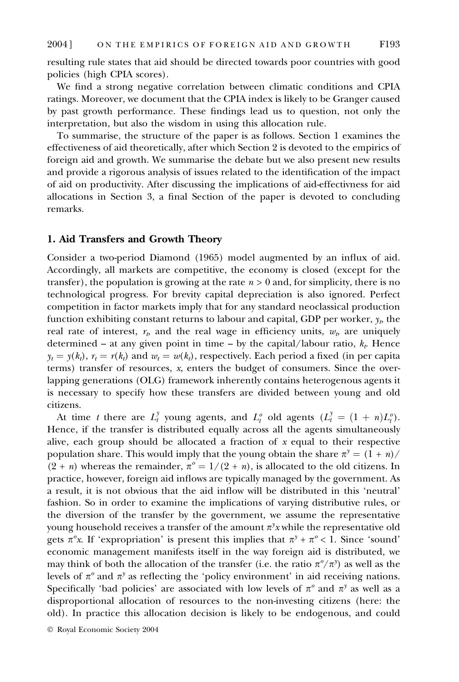resulting rule states that aid should be directed towards poor countries with good policies (high CPIA scores).

We find a strong negative correlation between climatic conditions and CPIA ratings. Moreover, we document that the CPIA index is likely to be Granger caused by past growth performance. These findings lead us to question, not only the interpretation, but also the wisdom in using this allocation rule.

To summarise, the structure of the paper is as follows. Section 1 examines the effectiveness of aid theoretically, after which Section 2 is devoted to the empirics of foreign aid and growth. We summarise the debate but we also present new results and provide a rigorous analysis of issues related to the identification of the impact of aid on productivity. After discussing the implications of aid-effectivness for aid allocations in Section 3, a final Section of the paper is devoted to concluding remarks.

## 1. Aid Transfers and Growth Theory

Consider a two-period Diamond (1965) model augmented by an influx of aid. Accordingly, all markets are competitive, the economy is closed (except for the transfer), the population is growing at the rate  $n > 0$  and, for simplicity, there is no technological progress. For brevity capital depreciation is also ignored. Perfect competition in factor markets imply that for any standard neoclassical production function exhibiting constant returns to labour and capital, GDP per worker,  $y_b$ , the real rate of interest,  $r_b$ , and the real wage in efficiency units,  $w_b$ , are uniquely determined – at any given point in time – by the capital/labour ratio,  $k_t$ . Hence  $y_t = y(k_t)$ ,  $r_t = r(k_t)$  and  $w_t = w(k_t)$ , respectively. Each period a fixed (in per capita terms) transfer of resources, x, enters the budget of consumers. Since the overlapping generations (OLG) framework inherently contains heterogenous agents it is necessary to specify how these transfers are divided between young and old citizens.

At time t there are  $L_t^y$  young agents, and  $L_t^o$  old agents  $(L_t^y = (1 + n)L_t^o)$ . Hence, if the transfer is distributed equally across all the agents simultaneously alive, each group should be allocated a fraction of  $x$  equal to their respective population share. This would imply that the young obtain the share  $\pi^y = (1 + n)$ /  $(2 + n)$  whereas the remainder,  $\pi^0 = 1/(2 + n)$ , is allocated to the old citizens. In practice, however, foreign aid inflows are typically managed by the government. As a result, it is not obvious that the aid inflow will be distributed in this 'neutral' fashion. So in order to examine the implications of varying distributive rules, or the diversion of the transfer by the government, we assume the representative young household receives a transfer of the amount  $\pi^y x$  while the representative old gets  $\pi^o x$ . If 'expropriation' is present this implies that  $\pi^y + \pi^o < 1$ . Since 'sound' economic management manifests itself in the way foreign aid is distributed, we may think of both the allocation of the transfer (i.e. the ratio  $\pi^o/\pi^y$ ) as well as the levels of  $\pi^o$  and  $\pi^y$  as reflecting the 'policy environment' in aid receiving nations. Specifically 'bad policies' are associated with low levels of  $\pi^0$  and  $\pi^y$  as well as a disproportional allocation of resources to the non-investing citizens (here: the old). In practice this allocation decision is likely to be endogenous, and could

 $©$  Royal Economic Society 2004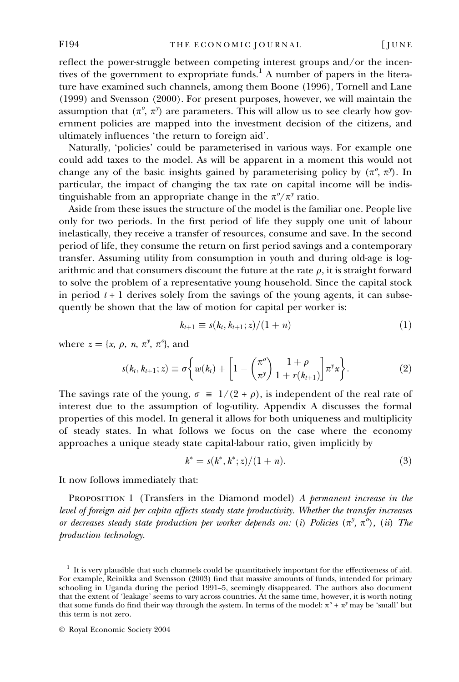reflect the power-struggle between competing interest groups and/or the incentives of the government to expropriate funds.<sup>1</sup> A number of papers in the literature have examined such channels, among them Boone (1996), Tornell and Lane (1999) and Svensson (2000). For present purposes, however, we will maintain the assumption that  $(\pi^o, \pi^o)$  are parameters. This will allow us to see clearly how government policies are mapped into the investment decision of the citizens, and ultimately influences 'the return to foreign aid'.

Naturally, 'policies' could be parameterised in various ways. For example one could add taxes to the model. As will be apparent in a moment this would not change any of the basic insights gained by parameterising policy by  $(\pi^o, \pi^y)$ . In particular, the impact of changing the tax rate on capital income will be indistinguishable from an appropriate change in the  $\pi^o/\pi^y$  ratio.

Aside from these issues the structure of the model is the familiar one. People live only for two periods. In the first period of life they supply one unit of labour inelastically, they receive a transfer of resources, consume and save. In the second period of life, they consume the return on first period savings and a contemporary transfer. Assuming utility from consumption in youth and during old-age is logarithmic and that consumers discount the future at the rate  $\rho$ , it is straight forward to solve the problem of a representative young household. Since the capital stock in period  $t + 1$  derives solely from the savings of the young agents, it can subsequently be shown that the law of motion for capital per worker is:

$$
k_{t+1} \equiv s(k_t, k_{t+1}; z)/(1+n) \tag{1}
$$

where  $z = \{x, \rho, n, \pi^y, \pi^o\}$ , and

$$
s(k_t, k_{t+1}; z) \equiv \sigma \left\{ w(k_t) + \left[ 1 - \left( \frac{\pi^o}{\pi^y} \right) \frac{1+\rho}{1+r(k_{t+1})} \right] \pi^y x \right\}.
$$
 (2)

The savings rate of the young,  $\sigma = 1/(2 + \rho)$ , is independent of the real rate of interest due to the assumption of log-utility. Appendix A discusses the formal properties of this model. In general it allows for both uniqueness and multiplicity of steady states. In what follows we focus on the case where the economy approaches a unique steady state capital-labour ratio, given implicitly by

$$
k^* = s(k^*, k^*; z)/(1+n). \tag{3}
$$

It now follows immediately that:

PROPOSITION 1 (Transfers in the Diamond model) A permanent increase in the level of foreign aid per capita affects steady state productivity. Whether the transfer increases or decreases steady state production per worker depends on: (i) Policies  $(\pi^y, \pi^o)$ , (ii) The production technology.

 $1$  It is very plausible that such channels could be quantitatively important for the effectiveness of aid. For example, Reinikka and Svensson (2003) find that massive amounts of funds, intended for primary schooling in Uganda during the period 1991–5, seemingly disappeared. The authors also document that the extent of 'leakage' seems to vary across countries. At the same time, however, it is worth noting that some funds do find their way through the system. In terms of the model:  $\pi^o + \pi^y$  may be 'small' but this term is not zero.

Royal Economic Society 2004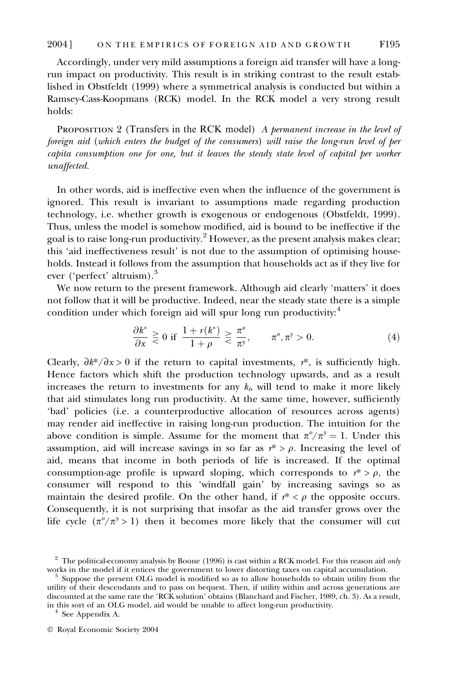Accordingly, under very mild assumptions a foreign aid transfer will have a longrun impact on productivity. This result is in striking contrast to the result established in Obstfeldt (1999) where a symmetrical analysis is conducted but within a Ramsey-Cass-Koopmans (RCK) model. In the RCK model a very strong result holds:

PROPOSITION 2 (Transfers in the RCK model) A permanent increase in the level of foreign aid (which enters the budget of the consumers) will raise the long-run level of per capita consumption one for one, but it leaves the steady state level of capital per worker unaffected.

In other words, aid is ineffective even when the influence of the government is ignored. This result is invariant to assumptions made regarding production technology, i.e. whether growth is exogenous or endogenous (Obstfeldt, 1999). Thus, unless the model is somehow modified, aid is bound to be ineffective if the goal is to raise long-run productivity.<sup>2</sup> However, as the present analysis makes clear; this 'aid ineffectiveness result' is not due to the assumption of optimising households. Instead it follows from the assumption that households act as if they live for ever ('perfect' altruism).<sup>3</sup>

We now return to the present framework. Although aid clearly 'matters' it does not follow that it will be productive. Indeed, near the steady state there is a simple condition under which foreign aid will spur long run productivity:<sup>4</sup>

$$
\frac{\partial k^*}{\partial x} \geq 0 \text{ if } \frac{1 + r(k^*)}{1 + \rho} \geq \frac{\pi^o}{\pi^y}, \qquad \pi^o, \pi^y > 0. \tag{4}
$$

Clearly,  $\partial k^*/\partial x > 0$  if the return to capital investments,  $r^*$ , is sufficiently high. Hence factors which shift the production technology upwards, and as a result increases the return to investments for any  $k_t$ , will tend to make it more likely that aid stimulates long run productivity. At the same time, however, sufficiently 'bad' policies (i.e. a counterproductive allocation of resources across agents) may render aid ineffective in raising long-run production. The intuition for the above condition is simple. Assume for the moment that  $\pi^o / \pi^y = 1$ . Under this assumption, aid will increase savings in so far as  $r^* > \rho$ . Increasing the level of aid, means that income in both periods of life is increased. If the optimal consumption-age profile is upward sloping, which corresponds to  $r^* > \rho$ , the consumer will respond to this 'windfall gain' by increasing savings so as maintain the desired profile. On the other hand, if  $r^* < \rho$  the opposite occurs. Consequently, it is not surprising that insofar as the aid transfer grows over the life cycle  $(\pi^o/\pi^v > 1)$  then it becomes more likely that the consumer will cut

 $2$  The political-economy analysis by Boone (1996) is cast within a RCK model. For this reason aid *only* works in the model if it entices the government to lower distorting taxes on capital accumulation.

 $3$  Suppose the present OLG model is modified so as to allow households to obtain utility from the utility of their descendants and to pass on bequest. Then, if utility within and across generations are discounted at the same rate the 'RCK solution' obtains (Blanchard and Fischer, 1989, ch. 3). As a result, in this sort of an OLG model, aid would be unable to affect long-run productivity. <sup>4</sup> See Appendix A.

Royal Economic Society 2004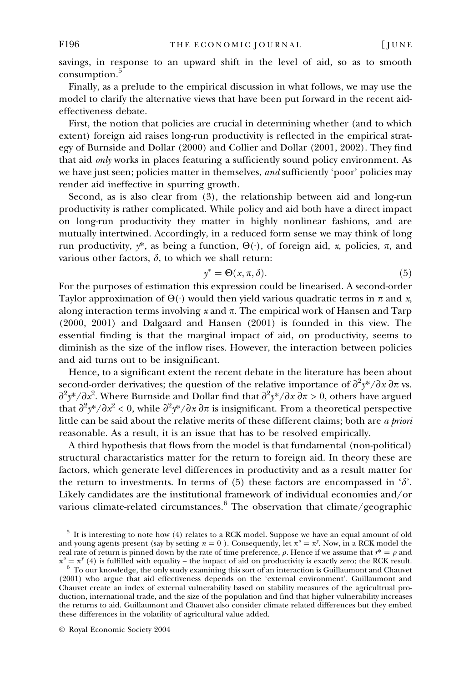savings, in response to an upward shift in the level of aid, so as to smooth consumption.<sup>5</sup>

Finally, as a prelude to the empirical discussion in what follows, we may use the model to clarify the alternative views that have been put forward in the recent aideffectiveness debate.

First, the notion that policies are crucial in determining whether (and to which extent) foreign aid raises long-run productivity is reflected in the empirical strategy of Burnside and Dollar (2000) and Collier and Dollar (2001, 2002). They find that aid only works in places featuring a sufficiently sound policy environment. As we have just seen; policies matter in themselves, and sufficiently 'poor' policies may render aid ineffective in spurring growth.

Second, as is also clear from (3), the relationship between aid and long-run productivity is rather complicated. While policy and aid both have a direct impact on long-run productivity they matter in highly nonlinear fashions, and are mutually intertwined. Accordingly, in a reduced form sense we may think of long run productivity,  $y^*$ , as being a function,  $\Theta(\cdot)$ , of foreign aid, x, policies,  $\pi$ , and various other factors,  $\delta$ , to which we shall return:

$$
y^* = \Theta(x, \pi, \delta). \tag{5}
$$

For the purposes of estimation this expression could be linearised. A second-order Taylor approximation of  $\Theta(\cdot)$  would then yield various quadratic terms in  $\pi$  and  $x$ , along interaction terms involving  $x$  and  $\pi$ . The empirical work of Hansen and Tarp (2000, 2001) and Dalgaard and Hansen (2001) is founded in this view. The essential finding is that the marginal impact of aid, on productivity, seems to diminish as the size of the inflow rises. However, the interaction between policies and aid turns out to be insignificant.

Hence, to a significant extent the recent debate in the literature has been about second-order derivatives; the question of the relative importance of  $\partial^2 y^* / \partial x \, \partial \pi$  vs.  $\partial^2 y^*/\partial x^2$ . Where Burnside and Dollar find that  $\partial^2 y^*/\partial x \, \overline{\partial x} > 0$ , others have argued that  $\partial^2 y^* / \partial x^2 < 0$ , while  $\partial^2 y^* / \partial x \partial \pi$  is insignificant. From a theoretical perspective little can be said about the relative merits of these different claims; both are a priori reasonable. As a result, it is an issue that has to be resolved empirically.

A third hypothesis that flows from the model is that fundamental (non-political) structural charactaristics matter for the return to foreign aid. In theory these are factors, which generate level differences in productivity and as a result matter for the return to investments. In terms of  $(5)$  these factors are encompassed in ' $\delta$ '. Likely candidates are the institutional framework of individual economies and/or various climate-related circumstances.<sup>6</sup> The observation that climate/geographic

<sup>5</sup> It is interesting to note how (4) relates to a RCK model. Suppose we have an equal amount of old and young agents present (say by setting  $n = 0$  ). Consequently, let  $\pi^o = \pi^y$ . Now, in a RCK model the real rate of return is pinned down by the rate of time preference,  $\rho$ . Hence if we assume that  $r^* = \rho$  and  $\pi^o = \pi^y$  (4) is fulfilled with equality – the impact of aid on productivity is exactly zero; the RCK result.

 $^6\,$  To our knowledge, the only study examining this sort of an interaction is Guillaumont and Chauvet (2001) who argue that aid effectiveness depends on the 'external environment'. Guillaumont and Chauvet create an index of external vulnerability based on stability measures of the agricultrual production, international trade, and the size of the population and find that higher vulnerability increases the returns to aid. Guillaumont and Chauvet also consider climate related differences but they embed these differences in the volatility of agricultural value added.

Royal Economic Society 2004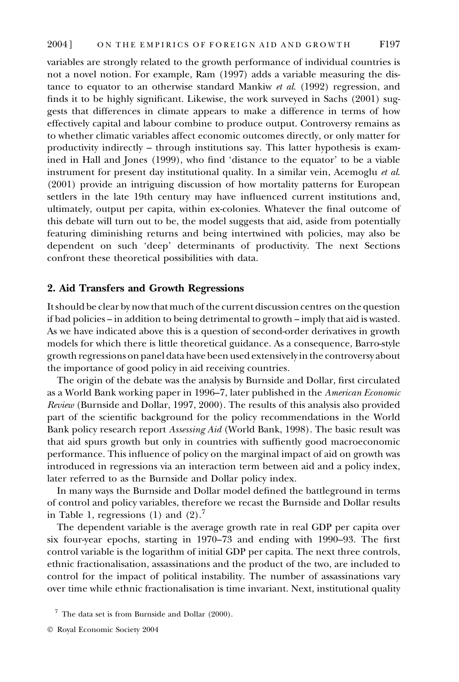variables are strongly related to the growth performance of individual countries is not a novel notion. For example, Ram (1997) adds a variable measuring the distance to equator to an otherwise standard Mankiw et al. (1992) regression, and finds it to be highly significant. Likewise, the work surveyed in Sachs (2001) suggests that differences in climate appears to make a difference in terms of how effectively capital and labour combine to produce output. Controversy remains as to whether climatic variables affect economic outcomes directly, or only matter for productivity indirectly – through institutions say. This latter hypothesis is examined in Hall and Jones (1999), who find 'distance to the equator' to be a viable instrument for present day institutional quality. In a similar vein, Acemoglu et al. (2001) provide an intriguing discussion of how mortality patterns for European settlers in the late 19th century may have influenced current institutions and, ultimately, output per capita, within ex-colonies. Whatever the final outcome of this debate will turn out to be, the model suggests that aid, aside from potentially featuring diminishing returns and being intertwined with policies, may also be dependent on such 'deep' determinants of productivity. The next Sections confront these theoretical possibilities with data.

## 2. Aid Transfers and Growth Regressions

It should be clear by now that much of the current discussion centres on the question if bad policies – in addition to being detrimental to growth – imply that aid is wasted. As we have indicated above this is a question of second-order derivatives in growth models for which there is little theoretical guidance. As a consequence, Barro-style growth regressions on panel data have been used extensively in the controversy about the importance of good policy in aid receiving countries.

The origin of the debate was the analysis by Burnside and Dollar, first circulated as a World Bank working paper in 1996–7, later published in the American Economic Review (Burnside and Dollar, 1997, 2000). The results of this analysis also provided part of the scientific background for the policy recommendations in the World Bank policy research report Assessing Aid (World Bank, 1998). The basic result was that aid spurs growth but only in countries with suffiently good macroeconomic performance. This influence of policy on the marginal impact of aid on growth was introduced in regressions via an interaction term between aid and a policy index, later referred to as the Burnside and Dollar policy index.

In many ways the Burnside and Dollar model defined the battleground in terms of control and policy variables, therefore we recast the Burnside and Dollar results in Table 1, regressions  $(1)$  and  $(2)$ .<sup>7</sup>

The dependent variable is the average growth rate in real GDP per capita over six four-year epochs, starting in 1970–73 and ending with 1990–93. The first control variable is the logarithm of initial GDP per capita. The next three controls, ethnic fractionalisation, assassinations and the product of the two, are included to control for the impact of political instability. The number of assassinations vary over time while ethnic fractionalisation is time invariant. Next, institutional quality

 $7$  The data set is from Burnside and Dollar (2000).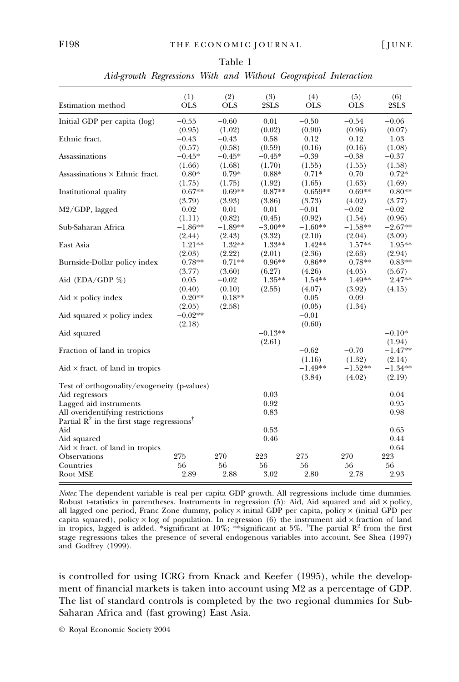| (1)<br>(2)<br>(3)<br>(6)<br>(4)<br>(5)<br><b>OLS</b><br>Estimation method<br><b>OLS</b><br>2SLS<br><b>OLS</b><br><b>OLS</b><br>$-0.60$<br>0.01<br>Initial GDP per capita (log)<br>$-0.55$<br>$-0.50$<br>$-0.54$<br>$-0.06$<br>(1.02)<br>(0.02)<br>(0.90)<br>(0.96)<br>(0.95)<br>$-0.43$<br>0.12<br>$-0.43$<br>0.58<br>0.12<br>(0.57)<br>(0.58)<br>(0.59)<br>(0.16)<br>(0.16)<br>$-0.39$<br>$-0.45*$<br>$-0.45*$<br>$-0.45*$<br>$-0.38$<br>(1.70)<br>(1.55)<br>(1.55)<br>(1.66)<br>(1.68)<br>$0.80*$<br>$0.79*$<br>$0.88*$<br>$0.71*$<br>0.70<br>(1.75)<br>(1.75)<br>(1.92)<br>(1.65)<br>(1.63)<br>$0.67**$<br>$0.69**$<br>$0.87**$<br>$0.659**$<br>$0.69**$<br>(3.79)<br>(3.93)<br>(3.73)<br>(3.86)<br>(4.02)<br>0.02<br>0.01<br>0.01<br>$-0.01$<br>$-0.02$<br>(1.11)<br>(0.82)<br>(0.92)<br>(1.54)<br>(0.45)<br>$-1.86**$<br>$-1.89**$<br>$-3.00**$<br>$-1.60**$<br>$-1.58**$<br>(2.44)<br>(3.32)<br>(2.10)<br>(2.43)<br>(2.04)<br>$1.57**$<br>$1.21**$<br>$1.32**$<br>$1.33**$<br>$1.42**$<br>(2.03)<br>(2.22)<br>(2.01)<br>(2.36)<br>(2.63)<br>$0.78**$<br>$0.71**$<br>$0.86**$<br>$0.78**$<br>$0.96**$<br>(3.77)<br>(6.27)<br>(3.60)<br>(4.26)<br>(4.05)<br>0.05<br>$-0.02$<br>$1.35***$<br>$1.54**$<br>$1.49**$ | <u>1100 growere 16grootens weer and wellowed Stographene Interaction</u> |  |  |           |
|----------------------------------------------------------------------------------------------------------------------------------------------------------------------------------------------------------------------------------------------------------------------------------------------------------------------------------------------------------------------------------------------------------------------------------------------------------------------------------------------------------------------------------------------------------------------------------------------------------------------------------------------------------------------------------------------------------------------------------------------------------------------------------------------------------------------------------------------------------------------------------------------------------------------------------------------------------------------------------------------------------------------------------------------------------------------------------------------------------------------------------------------------------------------------------------------------------------------|--------------------------------------------------------------------------|--|--|-----------|
|                                                                                                                                                                                                                                                                                                                                                                                                                                                                                                                                                                                                                                                                                                                                                                                                                                                                                                                                                                                                                                                                                                                                                                                                                      |                                                                          |  |  | 2SLS      |
|                                                                                                                                                                                                                                                                                                                                                                                                                                                                                                                                                                                                                                                                                                                                                                                                                                                                                                                                                                                                                                                                                                                                                                                                                      |                                                                          |  |  |           |
| Ethnic fract.<br>Assassinations<br>Assassinations × Ethnic fract.<br>Institutional quality<br>M2/GDP, lagged<br>Sub-Saharan Africa<br>East Asia<br>Burnside-Dollar policy index                                                                                                                                                                                                                                                                                                                                                                                                                                                                                                                                                                                                                                                                                                                                                                                                                                                                                                                                                                                                                                      |                                                                          |  |  | (0.07)    |
|                                                                                                                                                                                                                                                                                                                                                                                                                                                                                                                                                                                                                                                                                                                                                                                                                                                                                                                                                                                                                                                                                                                                                                                                                      |                                                                          |  |  | 1.03      |
|                                                                                                                                                                                                                                                                                                                                                                                                                                                                                                                                                                                                                                                                                                                                                                                                                                                                                                                                                                                                                                                                                                                                                                                                                      |                                                                          |  |  | (1.08)    |
|                                                                                                                                                                                                                                                                                                                                                                                                                                                                                                                                                                                                                                                                                                                                                                                                                                                                                                                                                                                                                                                                                                                                                                                                                      |                                                                          |  |  | $-0.37$   |
|                                                                                                                                                                                                                                                                                                                                                                                                                                                                                                                                                                                                                                                                                                                                                                                                                                                                                                                                                                                                                                                                                                                                                                                                                      |                                                                          |  |  | (1.58)    |
|                                                                                                                                                                                                                                                                                                                                                                                                                                                                                                                                                                                                                                                                                                                                                                                                                                                                                                                                                                                                                                                                                                                                                                                                                      |                                                                          |  |  | $0.72*$   |
|                                                                                                                                                                                                                                                                                                                                                                                                                                                                                                                                                                                                                                                                                                                                                                                                                                                                                                                                                                                                                                                                                                                                                                                                                      |                                                                          |  |  | (1.69)    |
|                                                                                                                                                                                                                                                                                                                                                                                                                                                                                                                                                                                                                                                                                                                                                                                                                                                                                                                                                                                                                                                                                                                                                                                                                      |                                                                          |  |  | $0.80**$  |
|                                                                                                                                                                                                                                                                                                                                                                                                                                                                                                                                                                                                                                                                                                                                                                                                                                                                                                                                                                                                                                                                                                                                                                                                                      |                                                                          |  |  | (3.77)    |
|                                                                                                                                                                                                                                                                                                                                                                                                                                                                                                                                                                                                                                                                                                                                                                                                                                                                                                                                                                                                                                                                                                                                                                                                                      |                                                                          |  |  | $-0.02$   |
|                                                                                                                                                                                                                                                                                                                                                                                                                                                                                                                                                                                                                                                                                                                                                                                                                                                                                                                                                                                                                                                                                                                                                                                                                      |                                                                          |  |  | (0.96)    |
|                                                                                                                                                                                                                                                                                                                                                                                                                                                                                                                                                                                                                                                                                                                                                                                                                                                                                                                                                                                                                                                                                                                                                                                                                      |                                                                          |  |  | $-2.67**$ |
|                                                                                                                                                                                                                                                                                                                                                                                                                                                                                                                                                                                                                                                                                                                                                                                                                                                                                                                                                                                                                                                                                                                                                                                                                      |                                                                          |  |  | (3.09)    |
|                                                                                                                                                                                                                                                                                                                                                                                                                                                                                                                                                                                                                                                                                                                                                                                                                                                                                                                                                                                                                                                                                                                                                                                                                      |                                                                          |  |  | $1.95**$  |
|                                                                                                                                                                                                                                                                                                                                                                                                                                                                                                                                                                                                                                                                                                                                                                                                                                                                                                                                                                                                                                                                                                                                                                                                                      |                                                                          |  |  | (2.94)    |
|                                                                                                                                                                                                                                                                                                                                                                                                                                                                                                                                                                                                                                                                                                                                                                                                                                                                                                                                                                                                                                                                                                                                                                                                                      |                                                                          |  |  | $0.83**$  |
|                                                                                                                                                                                                                                                                                                                                                                                                                                                                                                                                                                                                                                                                                                                                                                                                                                                                                                                                                                                                                                                                                                                                                                                                                      |                                                                          |  |  | (5.67)    |
|                                                                                                                                                                                                                                                                                                                                                                                                                                                                                                                                                                                                                                                                                                                                                                                                                                                                                                                                                                                                                                                                                                                                                                                                                      | Aid (EDA/GDP %)                                                          |  |  | 2.47**    |
| (0.10)<br>(2.55)<br>(0.40)<br>(4.07)<br>(3.92)                                                                                                                                                                                                                                                                                                                                                                                                                                                                                                                                                                                                                                                                                                                                                                                                                                                                                                                                                                                                                                                                                                                                                                       |                                                                          |  |  | (4.15)    |
| $0.20**$<br>$0.18**$<br>$\text{Aid} \times \text{policy index}$<br>0.05<br>0.09                                                                                                                                                                                                                                                                                                                                                                                                                                                                                                                                                                                                                                                                                                                                                                                                                                                                                                                                                                                                                                                                                                                                      |                                                                          |  |  |           |
| (2.05)<br>(2.58)<br>(0.05)<br>(1.34)                                                                                                                                                                                                                                                                                                                                                                                                                                                                                                                                                                                                                                                                                                                                                                                                                                                                                                                                                                                                                                                                                                                                                                                 |                                                                          |  |  |           |
| $-0.02**$<br>$-0.01$<br>Aid squared $\times$ policy index                                                                                                                                                                                                                                                                                                                                                                                                                                                                                                                                                                                                                                                                                                                                                                                                                                                                                                                                                                                                                                                                                                                                                            |                                                                          |  |  |           |
| (2.18)<br>(0.60)                                                                                                                                                                                                                                                                                                                                                                                                                                                                                                                                                                                                                                                                                                                                                                                                                                                                                                                                                                                                                                                                                                                                                                                                     |                                                                          |  |  |           |
| $-0.13**$<br>Aid squared                                                                                                                                                                                                                                                                                                                                                                                                                                                                                                                                                                                                                                                                                                                                                                                                                                                                                                                                                                                                                                                                                                                                                                                             |                                                                          |  |  | $-0.10*$  |
| (2.61)                                                                                                                                                                                                                                                                                                                                                                                                                                                                                                                                                                                                                                                                                                                                                                                                                                                                                                                                                                                                                                                                                                                                                                                                               |                                                                          |  |  | (1.94)    |
| $-0.62$<br>$-0.70$<br>Fraction of land in tropics                                                                                                                                                                                                                                                                                                                                                                                                                                                                                                                                                                                                                                                                                                                                                                                                                                                                                                                                                                                                                                                                                                                                                                    |                                                                          |  |  | $-1.47**$ |
| (1.16)<br>(1.32)                                                                                                                                                                                                                                                                                                                                                                                                                                                                                                                                                                                                                                                                                                                                                                                                                                                                                                                                                                                                                                                                                                                                                                                                     |                                                                          |  |  | (2.14)    |
| $-1.49**$<br>$-1.52**$<br>$\text{Mid} \times \text{fract.}$ of land in tropics                                                                                                                                                                                                                                                                                                                                                                                                                                                                                                                                                                                                                                                                                                                                                                                                                                                                                                                                                                                                                                                                                                                                       |                                                                          |  |  | $-1.34**$ |
| (4.02)<br>(3.84)                                                                                                                                                                                                                                                                                                                                                                                                                                                                                                                                                                                                                                                                                                                                                                                                                                                                                                                                                                                                                                                                                                                                                                                                     |                                                                          |  |  | (2.19)    |
| Test of orthogonality/exogeneity (p-values)                                                                                                                                                                                                                                                                                                                                                                                                                                                                                                                                                                                                                                                                                                                                                                                                                                                                                                                                                                                                                                                                                                                                                                          |                                                                          |  |  |           |
| 0.03<br>Aid regressors                                                                                                                                                                                                                                                                                                                                                                                                                                                                                                                                                                                                                                                                                                                                                                                                                                                                                                                                                                                                                                                                                                                                                                                               |                                                                          |  |  | 0.04      |
| Lagged aid instruments<br>0.92<br>0.95                                                                                                                                                                                                                                                                                                                                                                                                                                                                                                                                                                                                                                                                                                                                                                                                                                                                                                                                                                                                                                                                                                                                                                               |                                                                          |  |  |           |
| All overidentifying restrictions<br>0.83<br>0.98                                                                                                                                                                                                                                                                                                                                                                                                                                                                                                                                                                                                                                                                                                                                                                                                                                                                                                                                                                                                                                                                                                                                                                     |                                                                          |  |  |           |
| Partial $R^2$ in the first stage regressions <sup>†</sup>                                                                                                                                                                                                                                                                                                                                                                                                                                                                                                                                                                                                                                                                                                                                                                                                                                                                                                                                                                                                                                                                                                                                                            |                                                                          |  |  |           |
| Aid<br>0.53<br>$_{0.65}$                                                                                                                                                                                                                                                                                                                                                                                                                                                                                                                                                                                                                                                                                                                                                                                                                                                                                                                                                                                                                                                                                                                                                                                             |                                                                          |  |  |           |
| 0.46<br>Aid squared<br>0.44                                                                                                                                                                                                                                                                                                                                                                                                                                                                                                                                                                                                                                                                                                                                                                                                                                                                                                                                                                                                                                                                                                                                                                                          |                                                                          |  |  |           |
| $\text{Mid} \times \text{fract.}$ of land in tropics<br>0.64                                                                                                                                                                                                                                                                                                                                                                                                                                                                                                                                                                                                                                                                                                                                                                                                                                                                                                                                                                                                                                                                                                                                                         |                                                                          |  |  |           |
| 270<br>223<br>275<br>270<br>223<br>275<br>Observations                                                                                                                                                                                                                                                                                                                                                                                                                                                                                                                                                                                                                                                                                                                                                                                                                                                                                                                                                                                                                                                                                                                                                               |                                                                          |  |  |           |
| 56<br>56<br>56<br>56<br>56<br>Countries<br>56                                                                                                                                                                                                                                                                                                                                                                                                                                                                                                                                                                                                                                                                                                                                                                                                                                                                                                                                                                                                                                                                                                                                                                        |                                                                          |  |  |           |
| 2.89<br>3.02<br>$2.80\,$<br>2.78<br>2.88<br>2.93<br>Root MSE                                                                                                                                                                                                                                                                                                                                                                                                                                                                                                                                                                                                                                                                                                                                                                                                                                                                                                                                                                                                                                                                                                                                                         |                                                                          |  |  |           |

Table 1 Aid-growth Regressions With and Without Geograpical Interaction

Notes: The dependent variable is real per capita GDP growth. All regressions include time dummies. Robust t-statistics in parentheses. Instruments in regression (5): Aid, Aid squared and aid  $\times$  policy, all lagged one period, Franc Zone dummy, policy x initial GDP per capita, policy x (initial GPD per capita squared), policy  $\times$  log of population. In regression (6) the instrument aid  $\times$  fraction of land in tropics, lagged is added. \*significant at 10%; \*\*significant at 5%. <sup>†</sup>The partial  $R^2$  from the first stage regressions takes the presence of several endogenous variables into account. See Shea (1997) and Godfrey (1999).

is controlled for using ICRG from Knack and Keefer (1995), while the development of financial markets is taken into account using M2 as a percentage of GDP. The list of standard controls is completed by the two regional dummies for Sub-Saharan Africa and (fast growing) East Asia.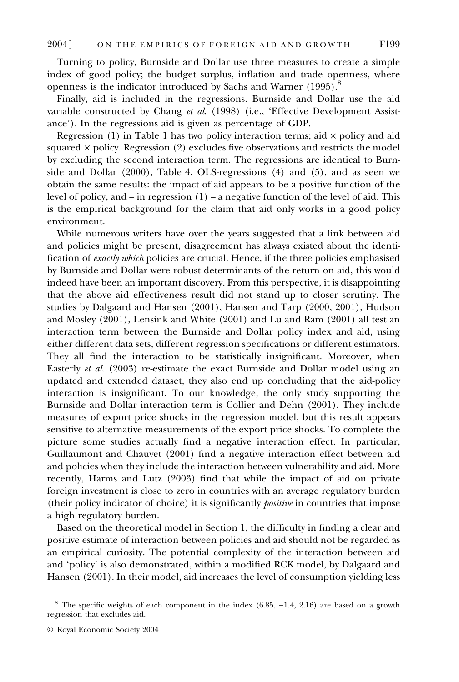Turning to policy, Burnside and Dollar use three measures to create a simple index of good policy; the budget surplus, inflation and trade openness, where openness is the indicator introduced by Sachs and Warner (1995).<sup>8</sup>

Finally, aid is included in the regressions. Burnside and Dollar use the aid variable constructed by Chang et al. (1998) (i.e., 'Effective Development Assistance'). In the regressions aid is given as percentage of GDP.

Regression (1) in Table 1 has two policy interaction terms; aid  $\times$  policy and aid squared  $\times$  policy. Regression (2) excludes five observations and restricts the model by excluding the second interaction term. The regressions are identical to Burnside and Dollar (2000), Table 4, OLS-regressions (4) and (5), and as seen we obtain the same results: the impact of aid appears to be a positive function of the level of policy, and – in regression (1) – a negative function of the level of aid. This is the empirical background for the claim that aid only works in a good policy environment.

While numerous writers have over the years suggested that a link between aid and policies might be present, disagreement has always existed about the identification of exactly which policies are crucial. Hence, if the three policies emphasised by Burnside and Dollar were robust determinants of the return on aid, this would indeed have been an important discovery. From this perspective, it is disappointing that the above aid effectiveness result did not stand up to closer scrutiny. The studies by Dalgaard and Hansen (2001), Hansen and Tarp (2000, 2001), Hudson and Mosley (2001), Lensink and White (2001) and Lu and Ram (2001) all test an interaction term between the Burnside and Dollar policy index and aid, using either different data sets, different regression specifications or different estimators. They all find the interaction to be statistically insignificant. Moreover, when Easterly et al. (2003) re-estimate the exact Burnside and Dollar model using an updated and extended dataset, they also end up concluding that the aid-policy interaction is insignificant. To our knowledge, the only study supporting the Burnside and Dollar interaction term is Collier and Dehn (2001). They include measures of export price shocks in the regression model, but this result appears sensitive to alternative measurements of the export price shocks. To complete the picture some studies actually find a negative interaction effect. In particular, Guillaumont and Chauvet (2001) find a negative interaction effect between aid and policies when they include the interaction between vulnerability and aid. More recently, Harms and Lutz (2003) find that while the impact of aid on private foreign investment is close to zero in countries with an average regulatory burden (their policy indicator of choice) it is significantly positive in countries that impose a high regulatory burden.

Based on the theoretical model in Section 1, the difficulty in finding a clear and positive estimate of interaction between policies and aid should not be regarded as an empirical curiosity. The potential complexity of the interaction between aid and 'policy' is also demonstrated, within a modified RCK model, by Dalgaard and Hansen (2001). In their model, aid increases the level of consumption yielding less

<sup>&</sup>lt;sup>8</sup> The specific weights of each component in the index  $(6.85, -1.4, 2.16)$  are based on a growth regression that excludes aid.

Royal Economic Society 2004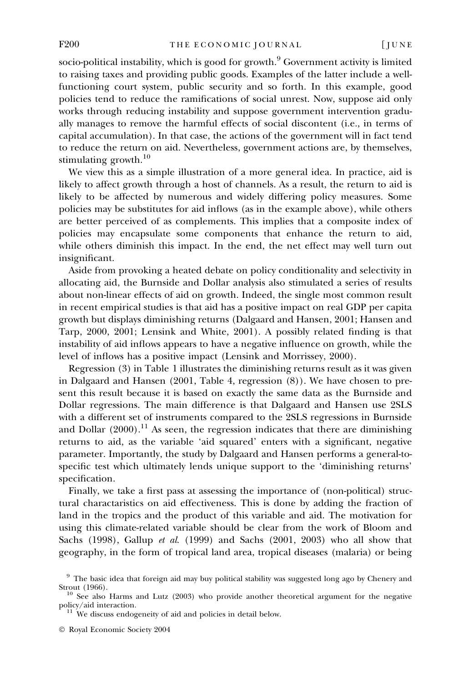socio-political instability, which is good for growth.<sup>9</sup> Government activity is limited to raising taxes and providing public goods. Examples of the latter include a wellfunctioning court system, public security and so forth. In this example, good policies tend to reduce the ramifications of social unrest. Now, suppose aid only works through reducing instability and suppose government intervention gradually manages to remove the harmful effects of social discontent (i.e., in terms of capital accumulation). In that case, the actions of the government will in fact tend to reduce the return on aid. Nevertheless, government actions are, by themselves, stimulating growth.<sup>10</sup>

We view this as a simple illustration of a more general idea. In practice, aid is likely to affect growth through a host of channels. As a result, the return to aid is likely to be affected by numerous and widely differing policy measures. Some policies may be substitutes for aid inflows (as in the example above), while others are better perceived of as complements. This implies that a composite index of policies may encapsulate some components that enhance the return to aid, while others diminish this impact. In the end, the net effect may well turn out insignificant.

Aside from provoking a heated debate on policy conditionality and selectivity in allocating aid, the Burnside and Dollar analysis also stimulated a series of results about non-linear effects of aid on growth. Indeed, the single most common result in recent empirical studies is that aid has a positive impact on real GDP per capita growth but displays diminishing returns (Dalgaard and Hansen, 2001; Hansen and Tarp, 2000, 2001; Lensink and White, 2001). A possibly related finding is that instability of aid inflows appears to have a negative influence on growth, while the level of inflows has a positive impact (Lensink and Morrissey, 2000).

Regression (3) in Table 1 illustrates the diminishing returns result as it was given in Dalgaard and Hansen (2001, Table 4, regression (8)). We have chosen to present this result because it is based on exactly the same data as the Burnside and Dollar regressions. The main difference is that Dalgaard and Hansen use 2SLS with a different set of instruments compared to the 2SLS regressions in Burnside and Dollar  $(2000)$ .<sup>11</sup> As seen, the regression indicates that there are diminishing returns to aid, as the variable 'aid squared' enters with a significant, negative parameter. Importantly, the study by Dalgaard and Hansen performs a general-tospecific test which ultimately lends unique support to the 'diminishing returns' specification.

Finally, we take a first pass at assessing the importance of (non-political) structural charactaristics on aid effectiveness. This is done by adding the fraction of land in the tropics and the product of this variable and aid. The motivation for using this climate-related variable should be clear from the work of Bloom and Sachs (1998), Gallup et al. (1999) and Sachs (2001, 2003) who all show that geography, in the form of tropical land area, tropical diseases (malaria) or being

 $^9$  The basic idea that foreign aid may buy political stability was suggested long ago by Chenery and Strout (1966).

 $10$  See also Harms and Lutz (2003) who provide another theoretical argument for the negative policy/aid interaction.

 $11$  We discuss endogeneity of aid and policies in detail below.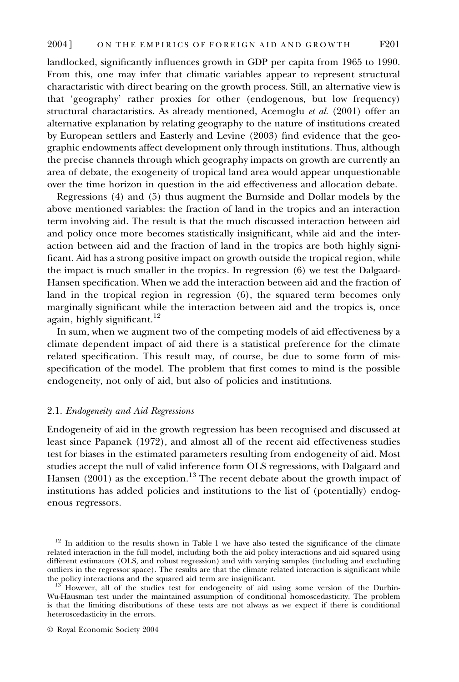landlocked, significantly influences growth in GDP per capita from 1965 to 1990. From this, one may infer that climatic variables appear to represent structural charactaristic with direct bearing on the growth process. Still, an alternative view is that 'geography' rather proxies for other (endogenous, but low frequency) structural charactaristics. As already mentioned, Acemoglu et al. (2001) offer an alternative explanation by relating geography to the nature of institutions created by European settlers and Easterly and Levine (2003) find evidence that the geographic endowments affect development only through institutions. Thus, although the precise channels through which geography impacts on growth are currently an area of debate, the exogeneity of tropical land area would appear unquestionable over the time horizon in question in the aid effectiveness and allocation debate.

Regressions (4) and (5) thus augment the Burnside and Dollar models by the above mentioned variables: the fraction of land in the tropics and an interaction term involving aid. The result is that the much discussed interaction between aid and policy once more becomes statistically insignificant, while aid and the interaction between aid and the fraction of land in the tropics are both highly significant. Aid has a strong positive impact on growth outside the tropical region, while the impact is much smaller in the tropics. In regression (6) we test the Dalgaard-Hansen specification. When we add the interaction between aid and the fraction of land in the tropical region in regression (6), the squared term becomes only marginally significant while the interaction between aid and the tropics is, once again, highly significant.<sup>12</sup>

In sum, when we augment two of the competing models of aid effectiveness by a climate dependent impact of aid there is a statistical preference for the climate related specification. This result may, of course, be due to some form of misspecification of the model. The problem that first comes to mind is the possible endogeneity, not only of aid, but also of policies and institutions.

## 2.1. Endogeneity and Aid Regressions

Endogeneity of aid in the growth regression has been recognised and discussed at least since Papanek (1972), and almost all of the recent aid effectiveness studies test for biases in the estimated parameters resulting from endogeneity of aid. Most studies accept the null of valid inference form OLS regressions, with Dalgaard and Hansen (2001) as the exception.<sup>13</sup> The recent debate about the growth impact of institutions has added policies and institutions to the list of (potentially) endogenous regressors.

 $12$  In addition to the results shown in Table 1 we have also tested the significance of the climate related interaction in the full model, including both the aid policy interactions and aid squared using different estimators (OLS, and robust regression) and with varying samples (including and excluding outliers in the regressor space). The results are that the climate related interaction is significant while the policy interactions and the squared aid term are insignificant.

<sup>&</sup>lt;sup>13</sup> However, all of the studies test for endogeneity of aid using some version of the Durbin-Wu-Hausman test under the maintained assumption of conditional homoscedasticity. The problem is that the limiting distributions of these tests are not always as we expect if there is conditional heteroscedasticity in the errors.

Royal Economic Society 2004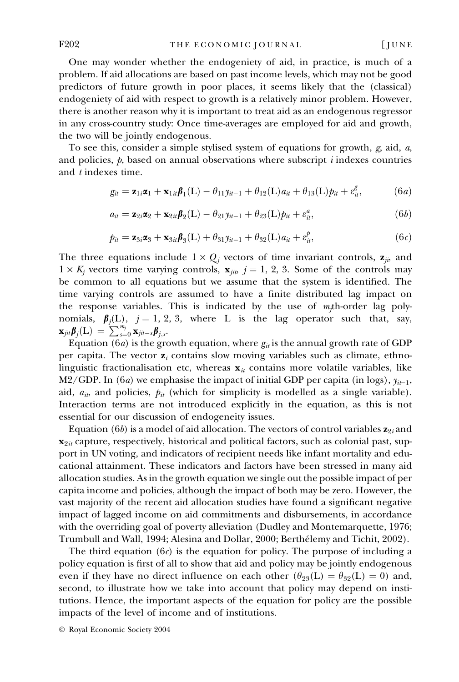One may wonder whether the endogeniety of aid, in practice, is much of a problem. If aid allocations are based on past income levels, which may not be good predictors of future growth in poor places, it seems likely that the (classical) endogeniety of aid with respect to growth is a relatively minor problem. However, there is another reason why it is important to treat aid as an endogenous regressor in any cross-country study: Once time-averages are employed for aid and growth, the two will be jointly endogenous.

To see this, consider a simple stylised system of equations for growth, g, aid, a, and policies,  $p$ , based on annual observations where subscript  $i$  indexes countries and t indexes time.

$$
g_{it} = \mathbf{z}_{1i}\mathbf{z}_1 + \mathbf{x}_{1it}\boldsymbol{\beta}_1(L) - \theta_{11}y_{it-1} + \theta_{12}(L)a_{it} + \theta_{13}(L)p_{it} + \varepsilon_{it}^g,
$$
(6a)

$$
a_{it} = \mathbf{z}_{2i}\mathbf{z}_2 + \mathbf{x}_{2it}\boldsymbol{\beta}_2(L) - \theta_{21}y_{it-1} + \theta_{23}(L)p_{it} + \varepsilon_{it}^a,
$$
\n(6b)

$$
p_{it} = \mathbf{z}_{3i}\mathbf{a}_3 + \mathbf{x}_{3it}\boldsymbol{\beta}_3(L) + \theta_{31}y_{it-1} + \theta_{32}(L)a_{it} + \varepsilon_{it}^p, \tag{6c}
$$

The three equations include  $1 \times Q_j$  vectors of time invariant controls,  $z_{ji}$ , and  $1 \times K_j$  vectors time varying controls,  $\mathbf{x}_{jib}$ ,  $j = 1, 2, 3$ . Some of the controls may be common to all equations but we assume that the system is identified. The time varying controls are assumed to have a finite distributed lag impact on the response variables. This is indicated by the use of  $m<sub>j</sub>$ th-order lag polynomials,  $\beta_i(L)$ ,  $j = 1, 2, 3$ , where L is the lag operator such that, say,  $\mathbf{x}_{jit}\boldsymbol{\beta}_j(\mathbf{L}) = \sum_{s=0}^{m_j} \mathbf{x}_{jit-s}\boldsymbol{\beta}_{j,s}.$ 

Equation (6*a*) is the growth equation, where  $g_{it}$  is the annual growth rate of GDP per capita. The vector  $z_i$  contains slow moving variables such as climate, ethnolinguistic fractionalisation etc, whereas  $\mathbf{x}_{it}$  contains more volatile variables, like M2/GDP. In (6*a*) we emphasise the impact of initial GDP per capita (in logs),  $y_{it-1}$ , aid,  $a_{it}$ , and policies,  $p_{it}$  (which for simplicity is modelled as a single variable). Interaction terms are not introduced explicitly in the equation, as this is not essential for our discussion of endogeneity issues.

Equation (6b) is a model of aid allocation. The vectors of control variables  $\mathbf{z}_{2i}$  and  $\mathbf{x}_{2it}$  capture, respectively, historical and political factors, such as colonial past, support in UN voting, and indicators of recipient needs like infant mortality and educational attainment. These indicators and factors have been stressed in many aid allocation studies. As in the growth equation we single out the possible impact of per capita income and policies, although the impact of both may be zero. However, the vast majority of the recent aid allocation studies have found a significant negative impact of lagged income on aid commitments and disbursements, in accordance with the overriding goal of poverty alleviation (Dudley and Montemarquette, 1976; Trumbull and Wall, 1994; Alesina and Dollar, 2000; Berthélemy and Tichit, 2002).

The third equation ( $6c$ ) is the equation for policy. The purpose of including a policy equation is first of all to show that aid and policy may be jointly endogenous even if they have no direct influence on each other  $(\theta_{23}(L) = \theta_{32}(L) = 0)$  and, second, to illustrate how we take into account that policy may depend on institutions. Hence, the important aspects of the equation for policy are the possible impacts of the level of income and of institutions.

 $©$  Royal Economic Society 2004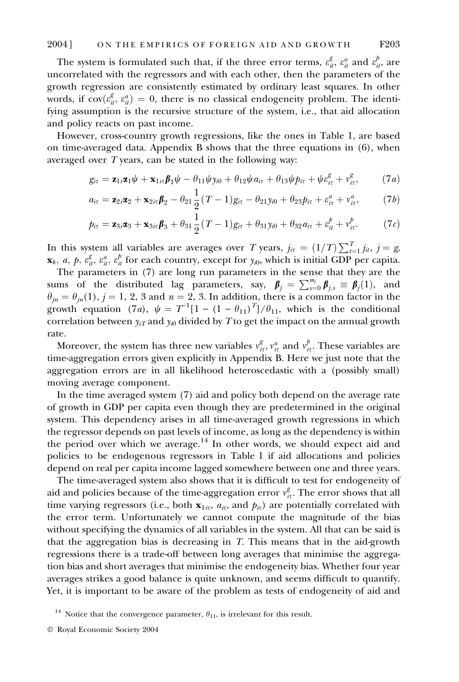The system is formulated such that, if the three error terms,  $\varepsilon_{it}^{g}$ ,  $\varepsilon_{it}^{a}$  and  $\varepsilon_{it}^{b}$ , are uncorrelated with the regressors and with each other, then the parameters of the growth regression are consistently estimated by ordinary least squares. In other words, if  $cov(\varepsilon_{it}^g, \varepsilon_{it}^a) = 0$ , there is no classical endogeneity problem. The identifying assumption is the recursive structure of the system, i.e., that aid allocation and policy reacts on past income.

However, cross-country growth regressions, like the ones in Table 1, are based on time-averaged data. Appendix B shows that the three equations in (6), when averaged over  $T$  years, can be stated in the following way:

$$
g_{i\tau} = \mathbf{z}_{1i}\mathbf{\alpha}_1\psi + \mathbf{x}_{1i\tau}\boldsymbol{\beta}_1\psi - \theta_{11}\psi y_{i0} + \theta_{12}\psi a_{i\tau} + \theta_{13}\psi p_{i\tau} + \psi \varepsilon_{i\tau}^g + v_{i\tau}^g, \qquad (7a)
$$

$$
a_{i\tau} = \mathbf{z}_{2i}\mathbf{z}_2 + \mathbf{x}_{2i\tau}\mathbf{\beta}_2 - \theta_{21}\frac{1}{2}(T-1)g_{i\tau} - \theta_{21}y_{i0} + \theta_{23}p_{i\tau} + \varepsilon_{i\tau}^a + v_{i\tau}^a, \qquad (7b)
$$

$$
p_{i\tau} = \mathbf{z}_{3i}\mathbf{z}_3 + \mathbf{x}_{3i\tau}\mathbf{\beta}_3 + \theta_{31}\frac{1}{2}(T-1)g_{i\tau} + \theta_{31}y_{i0} + \theta_{32}a_{i\tau} + \varepsilon_{it}^b + v_{i\tau}^b.
$$
 (7*c*)

In this system all variables are averages over T years,  $j_{it} = (1/T) \sum_{t=1}^{T} j_{it}$ ,  $j = g$ ,  $\mathbf{x}_k$ , a, p,  $\varepsilon_{it}^g$ ,  $\varepsilon_{it}^a$ ,  $\varepsilon_{it}^b$  for each country, except for  $y_{i0}$ , which is initial GDP per capita.

The parameters in (7) are long run parameters in the sense that they are the sums of the distributed lag parameters, say,  $\beta_j = \sum_{s=0}^{m_j} \beta_{j,s} \equiv \beta_j(1)$ , and  $\theta_{jn} = \theta_{jn}(1), j = 1, 2, 3$  and  $n = 2, 3$ . In addition, there is a common factor in the growth equation (7*a*),  $\psi = T^{-1}[1 - (1 - \theta_{11})^T]/\theta_{11}$ , which is the conditional correlation between  $y_{iT}$  and  $y_{i0}$  divided by T to get the impact on the annual growth rate.

Moreover, the system has three new variables  $v_{it}^g, v_{it}^a$  and  $v_{it}^b$ . These variables are time-aggregation errors given explicitly in Appendix B. Here we just note that the aggregation errors are in all likelihood heteroscedastic with a (possibly small) moving average component.

In the time averaged system (7) aid and policy both depend on the average rate of growth in GDP per capita even though they are predetermined in the original system. This dependency arises in all time-averaged growth regressions in which the regressor depends on past levels of income, as long as the dependency is within the period over which we average.<sup>14</sup> In other words, we should expect aid and policies to be endogenous regressors in Table 1 if aid allocations and policies depend on real per capita income lagged somewhere between one and three years.

The time-averaged system also shows that it is difficult to test for endogeneity of aid and policies because of the time-aggregation error  $v_{it}^{g}$ . The error shows that all time varying regressors (i.e., both  $\mathbf{x}_{1i\tau}$ ,  $a_{i\tau}$ , and  $p_{i\tau}$ ) are potentially correlated with the error term. Unfortunately we cannot compute the magnitude of the bias without specifying the dynamics of all variables in the system. All that can be said is that the aggregation bias is decreasing in T. This means that in the aid-growth regressions there is a trade-off between long averages that minimise the aggregation bias and short averages that minimise the endogeneity bias. Whether four year averages strikes a good balance is quite unknown, and seems difficult to quantify. Yet, it is important to be aware of the problem as tests of endogeneity of aid and

<sup>&</sup>lt;sup>14</sup> Notice that the convergence parameter,  $\theta_{11}$ , is irrelevant for this result.

Royal Economic Society 2004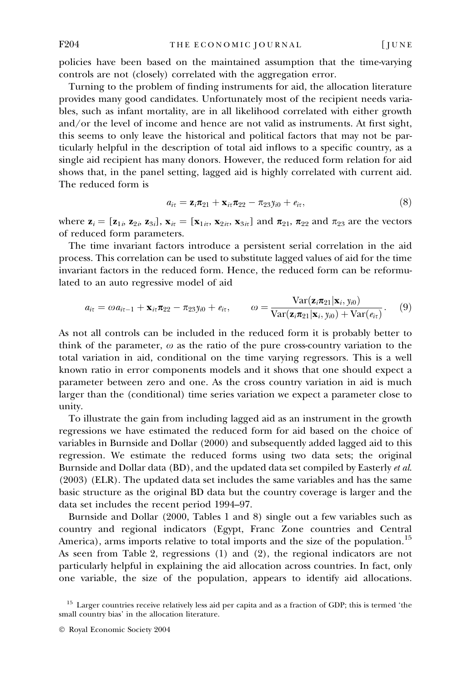policies have been based on the maintained assumption that the time-varying controls are not (closely) correlated with the aggregation error.

Turning to the problem of finding instruments for aid, the allocation literature provides many good candidates. Unfortunately most of the recipient needs variables, such as infant mortality, are in all likelihood correlated with either growth and/or the level of income and hence are not valid as instruments. At first sight, this seems to only leave the historical and political factors that may not be particularly helpful in the description of total aid inflows to a specific country, as a single aid recipient has many donors. However, the reduced form relation for aid shows that, in the panel setting, lagged aid is highly correlated with current aid. The reduced form is

$$
a_{i\tau} = \mathbf{z}_i \boldsymbol{\pi}_{21} + \mathbf{x}_{i\tau} \boldsymbol{\pi}_{22} - \boldsymbol{\pi}_{23} y_{i0} + e_{i\tau}, \qquad (8)
$$

where  $z_i = [z_{1i}, z_{2i}, z_{3i}],$   $x_{i\tau} = [x_{1i}, x_{2i}, x_{3i}]$  and  $\pi_{21}, \pi_{22}$  and  $\pi_{23}$  are the vectors of reduced form parameters.

The time invariant factors introduce a persistent serial correlation in the aid process. This correlation can be used to substitute lagged values of aid for the time invariant factors in the reduced form. Hence, the reduced form can be reformulated to an auto regressive model of aid

$$
a_{i\tau} = \omega a_{i\tau-1} + \mathbf{x}_{i\tau} \mathbf{\pi}_{22} - \pi_{23} y_{i0} + e_{i\tau}, \qquad \omega = \frac{\text{Var}(\mathbf{z}_i \mathbf{\pi}_{21} | \mathbf{x}_i, y_{i0})}{\text{Var}(\mathbf{z}_i \mathbf{\pi}_{21} | \mathbf{x}_i, y_{i0}) + \text{Var}(e_{i\tau})}.
$$
(9)

As not all controls can be included in the reduced form it is probably better to think of the parameter,  $\omega$  as the ratio of the pure cross-country variation to the total variation in aid, conditional on the time varying regressors. This is a well known ratio in error components models and it shows that one should expect a parameter between zero and one. As the cross country variation in aid is much larger than the (conditional) time series variation we expect a parameter close to unity.

To illustrate the gain from including lagged aid as an instrument in the growth regressions we have estimated the reduced form for aid based on the choice of variables in Burnside and Dollar (2000) and subsequently added lagged aid to this regression. We estimate the reduced forms using two data sets; the original Burnside and Dollar data (BD), and the updated data set compiled by Easterly et al. (2003) (ELR). The updated data set includes the same variables and has the same basic structure as the original BD data but the country coverage is larger and the data set includes the recent period 1994–97.

Burnside and Dollar (2000, Tables 1 and 8) single out a few variables such as country and regional indicators (Egypt, Franc Zone countries and Central America), arms imports relative to total imports and the size of the population.<sup>15</sup> As seen from Table 2, regressions (1) and (2), the regional indicators are not particularly helpful in explaining the aid allocation across countries. In fact, only one variable, the size of the population, appears to identify aid allocations.

<sup>&</sup>lt;sup>15</sup> Larger countries receive relatively less aid per capita and as a fraction of GDP; this is termed 'the small country bias' in the allocation literature.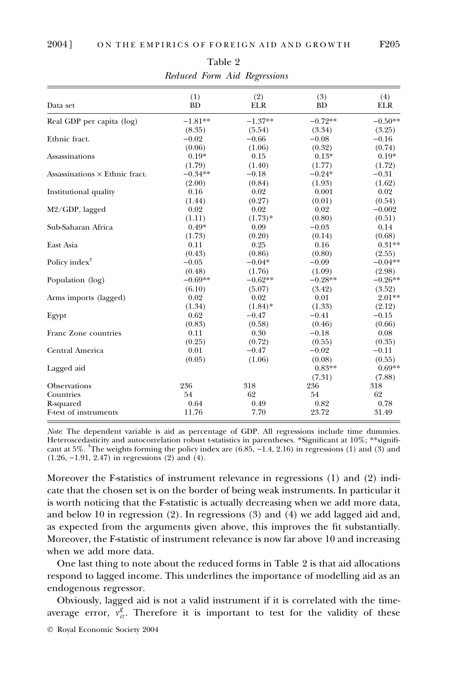| Data set                              | (1)<br><b>BD</b> | (2)<br><b>ELR</b> | (3)<br><b>BD</b> | (4)<br><b>ELR</b> |
|---------------------------------------|------------------|-------------------|------------------|-------------------|
|                                       | $-1.81**$        | $-1.37**$         | $-0.72**$        | $-0.50**$         |
| Real GDP per capita (log)             | (8.35)           | (5.54)            | (3.34)           | (3.25)            |
| Ethnic fract.                         | $-0.02$          | $-0.66$           | $-0.08$          | $-0.16$           |
|                                       | (0.06)           | (1.06)            | (0.32)           | (0.74)            |
| Assassinations                        | $0.19*$          | 0.15              | $0.13*$          | $0.19*$           |
|                                       | (1.79)           | (1.40)            | (1.77)           | (1.72)            |
| Assassinations $\times$ Ethnic fract. | $-0.34**$        | $-0.18$           | $-0.24*$         | $-0.31$           |
|                                       | (2.00)           | (0.84)            | (1.93)           | (1.62)            |
| Institutional quality                 | 0.16             | 0.02              | 0.001            | 0.02              |
|                                       | (1.44)           | (0.27)            | (0.01)           | (0.54)            |
| M2/GDP, lagged                        | 0.02             | 0.02              | 0.02             | $-0.002$          |
|                                       | (1.11)           | $(1.73)*$         | (0.80)           | (0.51)            |
| Sub-Saharan Africa                    | $0.49*$          | 0.09              | $-0.03$          | 0.14              |
|                                       | (1.73)           | (0.20)            | (0.14)           | (0.68)            |
| East Asia                             | 0.11             | 0.25              | 0.16             | $0.31**$          |
|                                       | (0.43)           | (0.86)            | (0.80)           | (2.55)            |
| Policy index <sup>†</sup>             | $-0.05$          | $-0.04*$          | $-0.09$          | $-0.04**$         |
|                                       | (0.48)           | (1.76)            | (1.09)           | (2.98)            |
| Population (log)                      | $-0.69**$        | $-0.62**$         | $-0.28**$        | $-0.26**$         |
|                                       | (6.10)           | (5.07)            | (3.42)           | (3.52)            |
| Arms imports (lagged)                 | 0.02             | 0.02              | 0.01             | $2.01**$          |
|                                       | (1.34)           | $(1.84)$ *        | (1.33)           | (2.12)            |
| Egypt                                 | 0.62             | $-0.47$           | $-0.41$          | $-0.15$           |
|                                       | (0.83)           | (0.58)            | (0.46)           | (0.66)            |
| Franc Zone countries                  | 0.11             | 0.30              | $-0.18$          | 0.08              |
|                                       | (0.25)           | (0.72)            | (0.55)           | (0.35)            |
| Central America                       | 0.01             | $-0.47$           | $-0.02$          | $-0.11$           |
|                                       | (0.05)           | (1.06)            | (0.08)           | (0.55)            |
| Lagged aid                            |                  |                   | $0.83**$         | $0.69**$          |
|                                       |                  |                   | (7.31)           | (7.88)            |
| Observations                          | 236              | 318               | 236              | 318               |
| Countries                             | 54               | 62                | 54               | 62                |
| R-squared                             | 0.64             | 0.49              | 0.82             | 0.78              |
| F-test of instruments                 | 11.76            | 7.70              | 23.72            | 31.49             |
|                                       |                  |                   |                  |                   |

Table 2 Reduced Form Aid Regressions

Note: The dependent variable is aid as percentage of GDP. All regressions include time dummies. Heteroscedasticity and autocorrelation robust t-statistics in parentheses. \*Significant at 10%; \*\*significant at 5%. <sup>†</sup>The weights forming the policy index are  $(6.85, -1.4, 2.16)$  in regressions (1) and (3) and  $(1.26, -1.91, 2.47)$  in regressions  $(2)$  and  $(4)$ .

Moreover the F-statistics of instrument relevance in regressions (1) and (2) indicate that the chosen set is on the border of being weak instruments. In particular it is worth noticing that the F-statistic is actually decreasing when we add more data, and below 10 in regression (2). In regressions (3) and (4) we add lagged aid and, as expected from the arguments given above, this improves the fit substantially. Moreover, the F-statistic of instrument relevance is now far above 10 and increasing when we add more data.

One last thing to note about the reduced forms in Table 2 is that aid allocations respond to lagged income. This underlines the importance of modelling aid as an endogenous regressor.

Obviously, lagged aid is not a valid instrument if it is correlated with the timeaverage error,  $v_{it}^{g}$ . Therefore it is important to test for the validity of these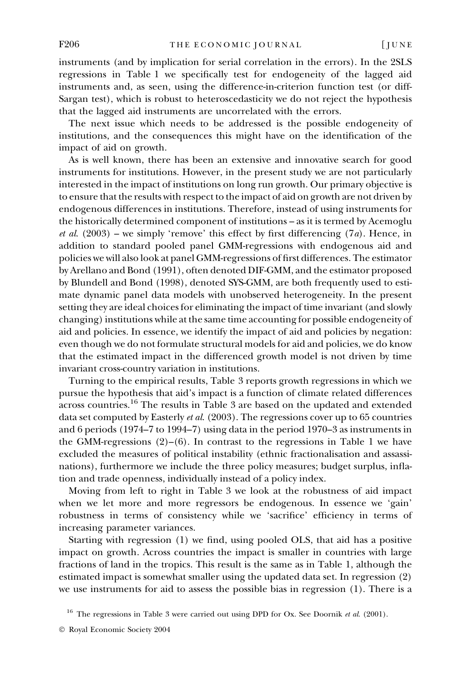instruments (and by implication for serial correlation in the errors). In the 2SLS regressions in Table 1 we specifically test for endogeneity of the lagged aid instruments and, as seen, using the difference-in-criterion function test (or diff-Sargan test), which is robust to heteroscedasticity we do not reject the hypothesis that the lagged aid instruments are uncorrelated with the errors.

The next issue which needs to be addressed is the possible endogeneity of institutions, and the consequences this might have on the identification of the impact of aid on growth.

As is well known, there has been an extensive and innovative search for good instruments for institutions. However, in the present study we are not particularly interested in the impact of institutions on long run growth. Our primary objective is to ensure that the results with respect to the impact of aid on growth are not driven by endogenous differences in institutions. Therefore, instead of using instruments for the historically determined component of institutions – as it is termed by Acemoglu et al.  $(2003)$  – we simply 'remove' this effect by first differencing  $(7a)$ . Hence, in addition to standard pooled panel GMM-regressions with endogenous aid and policies we will also look at panel GMM-regressions of first differences. The estimator by Arellano and Bond (1991), often denoted DIF-GMM, and the estimator proposed by Blundell and Bond (1998), denoted SYS-GMM, are both frequently used to estimate dynamic panel data models with unobserved heterogeneity. In the present setting they are ideal choices for eliminating the impact of time invariant (and slowly changing) institutions while at the same time accounting for possible endogeneity of aid and policies. In essence, we identify the impact of aid and policies by negation: even though we do not formulate structural models for aid and policies, we do know that the estimated impact in the differenced growth model is not driven by time invariant cross-country variation in institutions.

Turning to the empirical results, Table 3 reports growth regressions in which we pursue the hypothesis that aid's impact is a function of climate related differences across countries.<sup>16</sup> The results in Table 3 are based on the updated and extended data set computed by Easterly et al. (2003). The regressions cover up to 65 countries and 6 periods (1974–7 to 1994–7) using data in the period 1970–3 as instruments in the GMM-regressions  $(2)$ – $(6)$ . In contrast to the regressions in Table 1 we have excluded the measures of political instability (ethnic fractionalisation and assassinations), furthermore we include the three policy measures; budget surplus, inflation and trade openness, individually instead of a policy index.

Moving from left to right in Table 3 we look at the robustness of aid impact when we let more and more regressors be endogenous. In essence we 'gain' robustness in terms of consistency while we 'sacrifice' efficiency in terms of increasing parameter variances.

Starting with regression (1) we find, using pooled OLS, that aid has a positive impact on growth. Across countries the impact is smaller in countries with large fractions of land in the tropics. This result is the same as in Table 1, although the estimated impact is somewhat smaller using the updated data set. In regression (2) we use instruments for aid to assess the possible bias in regression (1). There is a

 $16$  The regressions in Table 3 were carried out using DPD for Ox. See Doornik et al. (2001).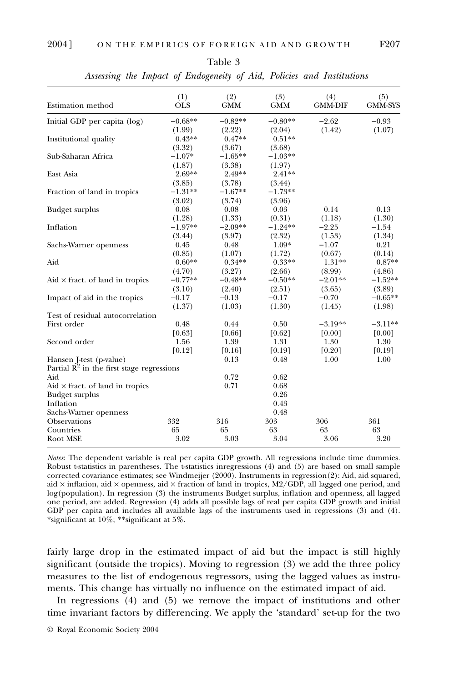| Estimation method                                    | (1)<br><b>OLS</b> | (2)<br><b>GMM</b> | (3)<br><b>GMM</b> | (4)<br><b>GMM-DIF</b> | (5)<br><b>GMM-SYS</b> |
|------------------------------------------------------|-------------------|-------------------|-------------------|-----------------------|-----------------------|
| Initial GDP per capita (log)                         | $-0.68**$         | $-0.82**$         | $-0.80**$         | $-2.62$               | $-0.93$               |
|                                                      | (1.99)            | (2.22)            | (2.04)            | (1.42)                | (1.07)                |
| Institutional quality                                | $0.43**$          | $0.47**$          | $0.51**$          |                       |                       |
|                                                      | (3.32)            | (3.67)            | (3.68)            |                       |                       |
| Sub-Saharan Africa                                   | $-1.07*$          | $-1.65**$         | $-1.03**$         |                       |                       |
|                                                      | (1.87)            | (3.38)            | (1.97)            |                       |                       |
| East Asia                                            | $2.69**$          | $2.49**$          | $2.41**$          |                       |                       |
|                                                      | (3.85)            | (3.78)            | (3.44)            |                       |                       |
| Fraction of land in tropics                          | $-1.31**$         | $-1.67**$         | $-1.73**$         |                       |                       |
|                                                      | (3.02)            | (3.74)            | (3.96)            |                       |                       |
| Budget surplus                                       | 0.08              | 0.08              | 0.03              | 0.14                  | 0.13                  |
|                                                      | (1.28)            | (1.33)            | (0.31)            | (1.18)                | (1.30)                |
| Inflation                                            | $-1.97**$         | $-2.09**$         | $-1.24**$         | $-2.25$               | $-1.54$               |
|                                                      | (3.44)            | (3.97)            | (2.32)            | (1.53)                | (1.34)                |
| Sachs-Warner openness                                | 0.45              | 0.48              | $1.09*$           | $-1.07$               | 0.21                  |
|                                                      | (0.85)            | (1.07)            | (1.72)            | (0.67)                | (0.14)                |
| Aid                                                  | $0.60**$          | $0.34**$          | $0.33**$          | $1.31**$              | $0.87**$              |
|                                                      | (4.70)            | (3.27)            | (2.66)            | (8.99)                | (4.86)                |
| $\text{Mid} \times \text{fract.}$ of land in tropics | $-0.77**$         | $-0.48**$         | $-0.50**$         | $-2.01**$             | $-1.52**$             |
|                                                      | (3.10)            | (2.40)            | (2.51)            | (3.65)                | (3.89)                |
| Impact of aid in the tropics                         | $-0.17$           | $-0.13$           | $-0.17$           | $-0.70$               | $-0.65**$             |
|                                                      | (1.37)            | (1.03)            | (1.30)            | (1.45)                | (1.98)                |
| Test of residual autocorrelation                     |                   |                   |                   |                       |                       |
| First order                                          | 0.48              | 0.44              | 0.50              | $-3.19**$             | $-3.11**$             |
|                                                      | [0.63]            | [0.66]            | [0.62]            | [0.00]                | [0.00]                |
| Second order                                         | 1.56              | 1.39              | 1.31              | 1.30                  | 1.30                  |
|                                                      | [0.12]            | [0.16]            | [0.19]            | [0.20]                | [0.19]                |
| Hansen J-test (p-value)                              |                   | 0.13              | 0.48              | 1.00                  | 1.00                  |
| Partial $R^2$ in the first stage regressions         |                   |                   |                   |                       |                       |
| Aid                                                  |                   | 0.72              | 0.62              |                       |                       |
| $\text{Mid} \times \text{fract.}$ of land in tropics |                   | 0.71              | 0.68              |                       |                       |
| Budget surplus                                       |                   |                   | 0.26              |                       |                       |
| Inflation                                            |                   |                   | 0.43              |                       |                       |
| Sachs-Warner openness                                |                   |                   | 0.48              |                       |                       |
| Observations                                         | 332               | 316               | 303               | 306                   | 361                   |
| Countries                                            | 65                | 65                | 63                | 63                    | 63                    |
| Root MSE                                             | 3.02              | 3.03              | 3.04              | 3.06                  | 3.20                  |

Table 3 Assessing the Impact of Endogeneity of Aid, Policies and Institutions

Notes: The dependent variable is real per capita GDP growth. All regressions include time dummies. Robust t-statistics in parentheses. The t-statistics inregressions (4) and (5) are based on small sample corrected covariance estimates; see Windmeijer (2000). Instruments in regression(2): Aid, aid squared, aid  $\times$  inflation, aid  $\times$  openness, aid  $\times$  fraction of land in tropics, M2/GDP, all lagged one period, and log(population). In regression (3) the instruments Budget surplus, inflation and openness, all lagged one period, are added. Regression (4) adds all possible lags of real per capita GDP growth and initial GDP per capita and includes all available lags of the instruments used in regressions (3) and (4). \*significant at 10%; \*\*significant at 5%.

fairly large drop in the estimated impact of aid but the impact is still highly significant (outside the tropics). Moving to regression (3) we add the three policy measures to the list of endogenous regressors, using the lagged values as instruments. This change has virtually no influence on the estimated impact of aid.

In regressions (4) and (5) we remove the impact of institutions and other time invariant factors by differencing. We apply the 'standard' set-up for the two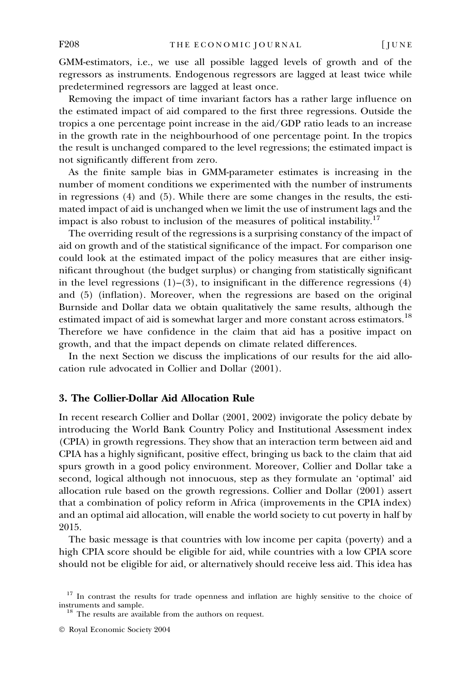GMM-estimators, i.e., we use all possible lagged levels of growth and of the regressors as instruments. Endogenous regressors are lagged at least twice while predetermined regressors are lagged at least once.

Removing the impact of time invariant factors has a rather large influence on the estimated impact of aid compared to the first three regressions. Outside the tropics a one percentage point increase in the aid/GDP ratio leads to an increase in the growth rate in the neighbourhood of one percentage point. In the tropics the result is unchanged compared to the level regressions; the estimated impact is not significantly different from zero.

As the finite sample bias in GMM-parameter estimates is increasing in the number of moment conditions we experimented with the number of instruments in regressions (4) and (5). While there are some changes in the results, the estimated impact of aid is unchanged when we limit the use of instrument lags and the impact is also robust to inclusion of the measures of political instability.<sup>17</sup>

The overriding result of the regressions is a surprising constancy of the impact of aid on growth and of the statistical significance of the impact. For comparison one could look at the estimated impact of the policy measures that are either insignificant throughout (the budget surplus) or changing from statistically significant in the level regressions  $(1)$ – $(3)$ , to insignificant in the difference regressions  $(4)$ and (5) (inflation). Moreover, when the regressions are based on the original Burnside and Dollar data we obtain qualitatively the same results, although the estimated impact of aid is somewhat larger and more constant across estimators.<sup>18</sup> Therefore we have confidence in the claim that aid has a positive impact on growth, and that the impact depends on climate related differences.

In the next Section we discuss the implications of our results for the aid allocation rule advocated in Collier and Dollar (2001).

## 3. The Collier-Dollar Aid Allocation Rule

In recent research Collier and Dollar (2001, 2002) invigorate the policy debate by introducing the World Bank Country Policy and Institutional Assessment index (CPIA) in growth regressions. They show that an interaction term between aid and CPIA has a highly significant, positive effect, bringing us back to the claim that aid spurs growth in a good policy environment. Moreover, Collier and Dollar take a second, logical although not innocuous, step as they formulate an 'optimal' aid allocation rule based on the growth regressions. Collier and Dollar (2001) assert that a combination of policy reform in Africa (improvements in the CPIA index) and an optimal aid allocation, will enable the world society to cut poverty in half by 2015.

The basic message is that countries with low income per capita (poverty) and a high CPIA score should be eligible for aid, while countries with a low CPIA score should not be eligible for aid, or alternatively should receive less aid. This idea has

 $17$  In contrast the results for trade openness and inflation are highly sensitive to the choice of instruments and sample.

 $18$  The results are available from the authors on request.

 $©$  Royal Economic Society 2004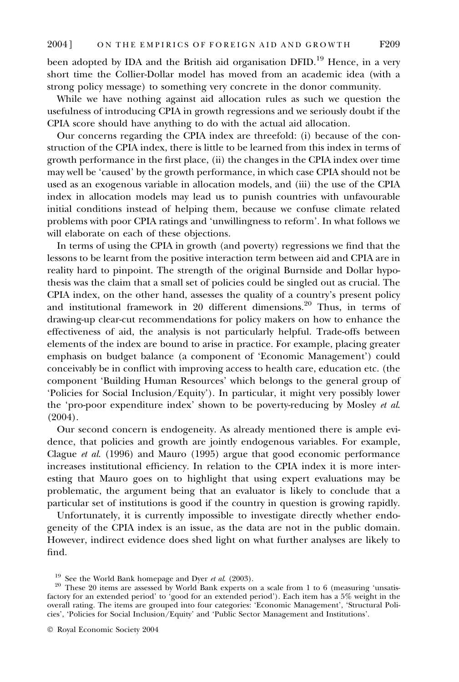been adopted by IDA and the British aid organisation DFID.<sup>19</sup> Hence, in a very short time the Collier-Dollar model has moved from an academic idea (with a strong policy message) to something very concrete in the donor community.

While we have nothing against aid allocation rules as such we question the usefulness of introducing CPIA in growth regressions and we seriously doubt if the CPIA score should have anything to do with the actual aid allocation.

Our concerns regarding the CPIA index are threefold: (i) because of the construction of the CPIA index, there is little to be learned from this index in terms of growth performance in the first place, (ii) the changes in the CPIA index over time may well be 'caused' by the growth performance, in which case CPIA should not be used as an exogenous variable in allocation models, and (iii) the use of the CPIA index in allocation models may lead us to punish countries with unfavourable initial conditions instead of helping them, because we confuse climate related problems with poor CPIA ratings and 'unwillingness to reform'. In what follows we will elaborate on each of these objections.

In terms of using the CPIA in growth (and poverty) regressions we find that the lessons to be learnt from the positive interaction term between aid and CPIA are in reality hard to pinpoint. The strength of the original Burnside and Dollar hypothesis was the claim that a small set of policies could be singled out as crucial. The CPIA index, on the other hand, assesses the quality of a country's present policy and institutional framework in 20 different dimensions.<sup>20</sup> Thus, in terms of drawing-up clear-cut recommendations for policy makers on how to enhance the effectiveness of aid, the analysis is not particularly helpful. Trade-offs between elements of the index are bound to arise in practice. For example, placing greater emphasis on budget balance (a component of 'Economic Management') could conceivably be in conflict with improving access to health care, education etc. (the component 'Building Human Resources' which belongs to the general group of 'Policies for Social Inclusion/Equity'). In particular, it might very possibly lower the 'pro-poor expenditure index' shown to be poverty-reducing by Mosley et al. (2004).

Our second concern is endogeneity. As already mentioned there is ample evidence, that policies and growth are jointly endogenous variables. For example, Clague et al. (1996) and Mauro (1995) argue that good economic performance increases institutional efficiency. In relation to the CPIA index it is more interesting that Mauro goes on to highlight that using expert evaluations may be problematic, the argument being that an evaluator is likely to conclude that a particular set of institutions is good if the country in question is growing rapidly.

Unfortunately, it is currently impossible to investigate directly whether endogeneity of the CPIA index is an issue, as the data are not in the public domain. However, indirect evidence does shed light on what further analyses are likely to find.

<sup>&</sup>lt;sup>19</sup> See the World Bank homepage and Dyer *et al.* (2003). <sup>20</sup> These 20 items are assessed by World Bank experts on a scale from 1 to 6 (measuring 'unsatisfactory for an extended period' to 'good for an extended period'). Each item has a 5% weight in the overall rating. The items are grouped into four categories: 'Economic Management', 'Structural Policies', 'Policies for Social Inclusion/Equity' and 'Public Sector Management and Institutions'.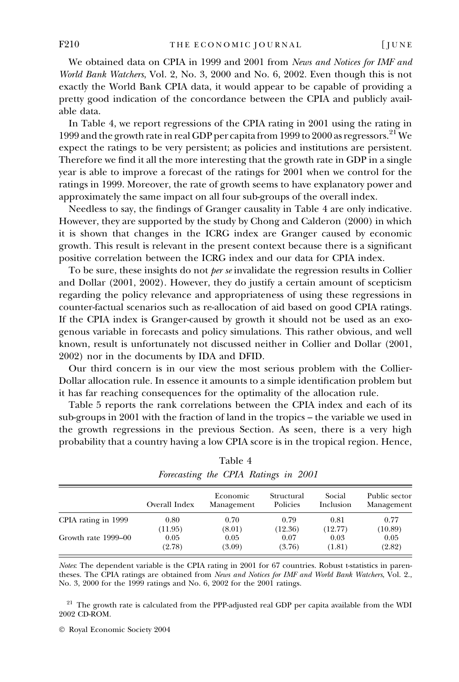We obtained data on CPIA in 1999 and 2001 from News and Notices for IMF and World Bank Watchers, Vol. 2, No. 3, 2000 and No. 6, 2002. Even though this is not exactly the World Bank CPIA data, it would appear to be capable of providing a pretty good indication of the concordance between the CPIA and publicly available data.

In Table 4, we report regressions of the CPIA rating in 2001 using the rating in 1999 and the growth rate in real GDP per capita from 1999 to 2000 as regressors.<sup>21</sup> We expect the ratings to be very persistent; as policies and institutions are persistent. Therefore we find it all the more interesting that the growth rate in GDP in a single year is able to improve a forecast of the ratings for 2001 when we control for the ratings in 1999. Moreover, the rate of growth seems to have explanatory power and approximately the same impact on all four sub-groups of the overall index.

Needless to say, the findings of Granger causality in Table 4 are only indicative. However, they are supported by the study by Chong and Calderon (2000) in which it is shown that changes in the ICRG index are Granger caused by economic growth. This result is relevant in the present context because there is a significant positive correlation between the ICRG index and our data for CPIA index.

To be sure, these insights do not *per se* invalidate the regression results in Collier and Dollar (2001, 2002). However, they do justify a certain amount of scepticism regarding the policy relevance and appropriateness of using these regressions in counter-factual scenarios such as re-allocation of aid based on good CPIA ratings. If the CPIA index is Granger-caused by growth it should not be used as an exogenous variable in forecasts and policy simulations. This rather obvious, and well known, result is unfortunately not discussed neither in Collier and Dollar (2001, 2002) nor in the documents by IDA and DFID.

Our third concern is in our view the most serious problem with the Collier-Dollar allocation rule. In essence it amounts to a simple identification problem but it has far reaching consequences for the optimality of the allocation rule.

Table 5 reports the rank correlations between the CPIA index and each of its sub-groups in 2001 with the fraction of land in the tropics – the variable we used in the growth regressions in the previous Section. As seen, there is a very high probability that a country having a low CPIA score is in the tropical region. Hence,

|                     | Overall Index | Economic<br>Management | Structural<br>Policies | Social<br>Inclusion | Public sector<br>Management |
|---------------------|---------------|------------------------|------------------------|---------------------|-----------------------------|
| CPIA rating in 1999 | 0.80          | 0.70                   | 0.79                   | 0.81                | 0.77                        |
|                     | (11.95)       | (8.01)                 | (12.36)                | (12.77)             | (10.89)                     |
| Growth rate 1999–00 | 0.05          | 0.05                   | 0.07                   | 0.03                | 0.05                        |
|                     | (2.78)        | (3.09)                 | (3.76)                 | (1.81)              | (2.82)                      |

Table 4 Forecasting the CPIA Ratings in 2001

Notes: The dependent variable is the CPIA rating in 2001 for 67 countries. Robust t-statistics in parentheses. The CPIA ratings are obtained from News and Notices for IMF and World Bank Watchers, Vol. 2., No. 3, 2000 for the 1999 ratings and No. 6, 2002 for the 2001 ratings.

<sup>21</sup> The growth rate is calculated from the PPP-adjusted real GDP per capita available from the WDI 2002 CD-ROM.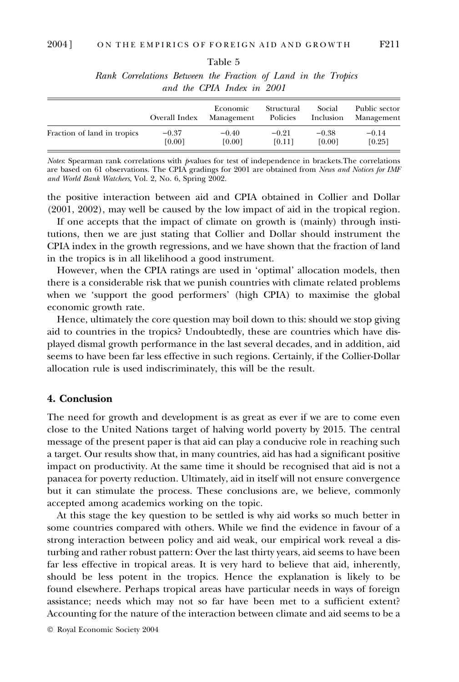### Table 5

|                             | Overall Index | Economic<br>Management | Structural<br>Policies | Social<br>Inclusion | Public sector<br>Management |
|-----------------------------|---------------|------------------------|------------------------|---------------------|-----------------------------|
| Fraction of land in tropics | $-0.37$       | $-0.40$                | $-0.21$                | $-0.38$             | $-0.14$                     |
|                             | [0.00]        | [0.00]                 | [0.11]                 | [0.00]              | [0.25]                      |

Rank Correlations Between the Fraction of Land in the Tropics and the CPIA Index in 2001

Notes: Spearman rank correlations with  $p$ -values for test of independence in brackets. The correlations are based on 61 observations. The CPIA gradings for 2001 are obtained from News and Notices for IMF and World Bank Watchers, Vol. 2, No. 6, Spring 2002.

the positive interaction between aid and CPIA obtained in Collier and Dollar (2001, 2002), may well be caused by the low impact of aid in the tropical region.

If one accepts that the impact of climate on growth is (mainly) through institutions, then we are just stating that Collier and Dollar should instrument the CPIA index in the growth regressions, and we have shown that the fraction of land in the tropics is in all likelihood a good instrument.

However, when the CPIA ratings are used in 'optimal' allocation models, then there is a considerable risk that we punish countries with climate related problems when we 'support the good performers' (high CPIA) to maximise the global economic growth rate.

Hence, ultimately the core question may boil down to this: should we stop giving aid to countries in the tropics? Undoubtedly, these are countries which have displayed dismal growth performance in the last several decades, and in addition, aid seems to have been far less effective in such regions. Certainly, if the Collier-Dollar allocation rule is used indiscriminately, this will be the result.

## 4. Conclusion

The need for growth and development is as great as ever if we are to come even close to the United Nations target of halving world poverty by 2015. The central message of the present paper is that aid can play a conducive role in reaching such a target. Our results show that, in many countries, aid has had a significant positive impact on productivity. At the same time it should be recognised that aid is not a panacea for poverty reduction. Ultimately, aid in itself will not ensure convergence but it can stimulate the process. These conclusions are, we believe, commonly accepted among academics working on the topic.

At this stage the key question to be settled is why aid works so much better in some countries compared with others. While we find the evidence in favour of a strong interaction between policy and aid weak, our empirical work reveal a disturbing and rather robust pattern: Over the last thirty years, aid seems to have been far less effective in tropical areas. It is very hard to believe that aid, inherently, should be less potent in the tropics. Hence the explanation is likely to be found elsewhere. Perhaps tropical areas have particular needs in ways of foreign assistance; needs which may not so far have been met to a sufficient extent? Accounting for the nature of the interaction between climate and aid seems to be a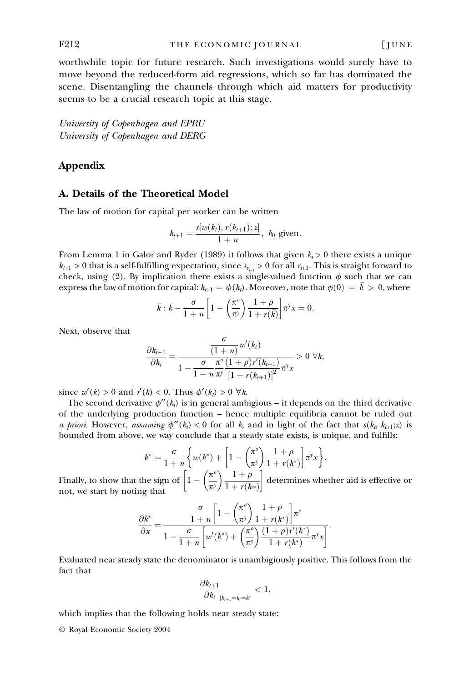worthwhile topic for future research. Such investigations would surely have to move beyond the reduced-form aid regressions, which so far has dominated the scene. Disentangling the channels through which aid matters for productivity seems to be a crucial research topic at this stage.

University of Copenhagen and EPRU University of Copenhagen and DERG

## Appendix

## A. Details of the Theoretical Model

The law of motion for capital per worker can be written

$$
k_{t+1} = \frac{s[w(k_t), r(k_{t+1}); z]}{1+n}, \ k_0 \text{ given.}
$$

From Lemma 1 in Galor and Ryder (1989) it follows that given  $k_t > 0$  there exists a unique  $k_{t+1} > 0$  that is a self-fulfilling expectation, since  $s_{r_{t+1}} > 0$  for all  $r_{t+1}$ . This is straight forward to check, using (2). By implication there exists a single-valued function  $\phi$  such that we can express the law of motion for capital:  $k_{t+1} = \phi(k_t)$ . Moreover, note that  $\phi(0) = \bar{k} > 0$ , where

$$
\bar{k}: \bar{k} - \frac{\sigma}{1+n} \left[1 - \left(\frac{\pi^o}{\pi^v}\right) \frac{1+\rho}{1+r(\bar{k})}\right] \pi^y x = 0.
$$

Next, observe that

$$
\frac{\partial k_{t+1}}{\partial k_t} = \frac{\frac{\sigma}{(1+n)} w'(k_t)}{1 - \frac{\sigma}{1+n} \frac{\pi^o}{\pi^v} \frac{(1+\rho) r'(k_{t+1})}{[1+r(k_{t+1})]^2} \pi^y x} > 0 \ \forall k,
$$

since  $w'(k) > 0$  and  $r'(k) < 0$ . Thus  $\phi'(k_1) > 0 \ \forall k$ .

The second derivative  $\phi''(k_i)$  is in general ambigious – it depends on the third derivative of the underlying production function – hence multiple equilibria cannot be ruled out a priori. However, assuming  $\phi''(k_i) < 0$  for all k, and in light of the fact that  $s(k_i, k_{i+1}; z)$  is bounded from above, we way conclude that a steady state exists, is unique, and fulfills:

$$
k^* = \frac{\sigma}{1+n} \left\{ w(k^*) + \left[ 1 - \left( \frac{\pi^o}{\pi^v} \right) \frac{1+\rho}{1+r(k^*)} \right] \pi^y x \right\}.
$$

Finally, to show that the sign of  $\left[1 - \left(\frac{\pi^0}{\pi^y}\right)\right]$  $\left[\frac{1+r}{1+r(k*)}\right]$  determines whether aid is effective or not, we start by noting that

$$
\frac{\partial k^*}{\partial x} = \frac{\frac{\sigma}{1+n} \left[1 - \left(\frac{\pi^o}{\pi^y}\right) \frac{1+\rho}{1+r(k^*)}\right] \pi^y}{1 - \frac{\sigma}{1+n} \left[w'(k^*) + \left(\frac{\pi^o}{\pi^y}\right) \frac{(1+\rho)r'(k^*)}{1+r(k^*)}\pi^y x\right]}.
$$

Evaluated near steady state the denominator is unambigiously positive. This follows from the fact that

$$
\frac{\partial k_{t+1}}{\partial k_t}_{|k_{t+1}=k_t=k^*}<1,
$$

which implies that the following holds near steady state: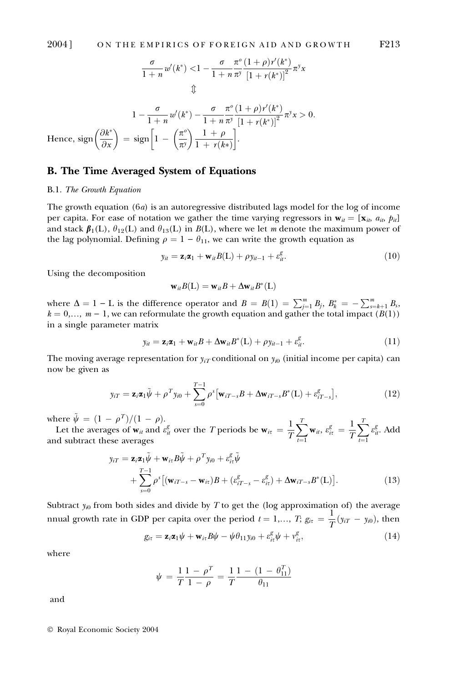$$
\frac{\sigma}{1+n}w'(k^*) < 1 - \frac{\sigma}{1+n} \frac{\pi^o}{\pi^v} \frac{(1+\rho)r'(k^*)}{\left[1+r(k^*)\right]^2} \pi^y x
$$
  

$$
\updownarrow
$$

$$
1 - \frac{\sigma}{1+n} w'(k^*) - \frac{\sigma}{1+n} \frac{\pi^o (1+\rho) r'(k^*)}{[1+r(k^*)]^2} \pi^y x > 0.
$$
  
Hence, sign $\left(\frac{\partial k^*}{\partial x}\right) = \text{sign}\left[1 - \left(\frac{\pi^o}{\pi^y}\right) \frac{1+\rho}{1+r(k^*)}\right].$ 

## B. The Time Averaged System of Equations

### B.1. The Growth Equation

The growth equation (6a) is an autoregressive distributed lags model for the log of income per capita. For ease of notation we gather the time varying regressors in  $w_{ii} = [x_{ii}, a_{ii}, b_{ii}]$ and stack  $\beta_1(L)$ ,  $\theta_{12}(L)$  and  $\theta_{13}(L)$  in  $B(L)$ , where we let m denote the maximum power of the lag polynomial. Defining  $\rho = 1 - \theta_{11}$ , we can write the growth equation as

$$
y_{it} = \mathbf{z}_i \mathbf{z}_1 + \mathbf{w}_{it} B(L) + \rho y_{it-1} + \varepsilon_{it}^g.
$$
 (10)

Using the decomposition

$$
\mathbf{w}_{it}B(\mathbf{L}) = \mathbf{w}_{it}B + \Delta \mathbf{w}_{it}B^*(\mathbf{L})
$$

where  $\Delta = 1 - L$  is the difference operator and  $B = B(1) = \sum_{j=1}^{m} B_j$ ,  $B_k^* = -\sum_{s=k+1}^{m} B_s$ ,  $k = 0,..., m - 1$ , we can reformulate the growth equation and gather the total impact  $(B(1))$ in a single parameter matrix

$$
y_{it} = \mathbf{z}_i \mathbf{z}_1 + \mathbf{w}_{it} B + \Delta \mathbf{w}_{it} B^*(\mathbf{L}) + \rho y_{it-1} + \varepsilon_{it}^g.
$$
 (11)

The moving average representation for  $y_{iT}$  conditional on  $y_{i0}$  (initial income per capita) can now be given as

$$
y_{iT} = \mathbf{z}_i \mathbf{\alpha}_1 \tilde{\psi} + \rho^T y_{i0} + \sum_{s=0}^{T-1} \rho^s [\mathbf{w}_{iT-s} B + \Delta \mathbf{w}_{iT-s} B^*(\mathbf{L}) + \varepsilon_{iT-s}^g],
$$
\n(12)

where  $\tilde{\psi} = (1 - \rho^T)/(1 - \rho)$ .

Let  $\psi = (1 - \frac{\mu}{\mu})/(1 - \frac{\mu}{\mu})$ .<br>Let the averages of w<sub>it</sub> and  $\varepsilon_{it}^{g}$  over the T periods be  $w_{it} = \frac{1}{T}$  $\frac{T}{\sqrt{2}}$  $t=1$  $\mathbf{w}_{it},\,\varepsilon_{it}^{g}\,=\,\frac{1}{T}$  $\frac{T}{\sqrt{2}}$  $t=1$  $\varepsilon_{it}^g$ . Add and subtract these averages

$$
y_{iT} = \mathbf{z}_i \mathbf{\alpha}_1 \tilde{\psi} + \mathbf{w}_{i\tau} B \tilde{\psi} + \rho^T y_{i0} + \varepsilon_{i\tau}^g \tilde{\psi}
$$
  
+ 
$$
\sum_{s=0}^{T-1} \rho^s \left[ (\mathbf{w}_{iT-s} - \mathbf{w}_{i\tau}) B + (\varepsilon_{iT-s}^g - \varepsilon_{i\tau}^g) + \Delta \mathbf{w}_{iT-s} B^*(\mathbf{L}) \right].
$$
 (13)

Subtract  $y_{i0}$  from both sides and divide by T to get the (log approximation of) the average nnual growth rate in GDP per capita over the period  $t = 1,..., T$ ;  $g_{i\tau} = \frac{1}{T}(y_{iT} - y_{i0})$ , then

$$
g_{i\tau} = \mathbf{z}_i \mathbf{z}_1 \psi + \mathbf{w}_{i\tau} B \psi - \psi \theta_{11} y_{i0} + \varepsilon_{i\tau}^g \psi + v_{i\tau}^g,
$$
(14)

where

$$
\psi = \frac{1}{T} \frac{1 - \rho^T}{1 - \rho} = \frac{1}{T} \frac{1 - (1 - \theta_{11}^T)}{\theta_{11}}
$$

and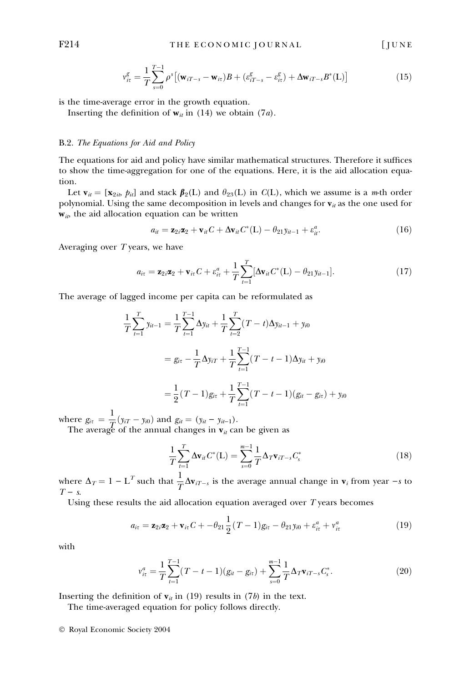$$
v_{it}^{g} = \frac{1}{T} \sum_{s=0}^{T-1} \rho^{s} \left[ (\mathbf{w}_{iT-s} - \mathbf{w}_{it}) B + (\varepsilon_{iT-s}^{g} - \varepsilon_{it}^{g}) + \Delta \mathbf{w}_{iT-s} B^{*}(\mathbf{L}) \right]
$$
(15)

is the time-average error in the growth equation.

Inserting the definition of  $w_{it}$  in (14) we obtain (7*a*).

#### B.2. The Equations for Aid and Policy

The equations for aid and policy have similar mathematical structures. Therefore it suffices to show the time-aggregation for one of the equations. Here, it is the aid allocation equation.

Let  $\mathbf{v}_{ii} = [\mathbf{x}_{2ii}, p_{ii}]$  and stack  $\beta_2(L)$  and  $\theta_{23}(L)$  in  $C(L)$ , which we assume is a *m*-th order polynomial. Using the same decomposition in levels and changes for  $\mathbf{v}_{ii}$  as the one used for  $w_{ip}$  the aid allocation equation can be written

$$
a_{it} = \mathbf{z}_{2i}\mathbf{z}_2 + \mathbf{v}_{it}C + \Delta\mathbf{v}_{it}C^*(\mathbf{L}) - \theta_{21}y_{it-1} + \varepsilon_{it}^a.
$$
 (16)

Averaging over  $T$  years, we have

$$
a_{i\tau} = \mathbf{z}_{2i}\mathbf{z}_2 + \mathbf{v}_{i\tau}C + \varepsilon_{i\tau}^a + \frac{1}{T}\sum_{t=1}^T[\Delta\mathbf{v}_{it}C^*(\mathbf{L}) - \theta_{21}\mathbf{y}_{it-1}].
$$
\n(17)

The average of lagged income per capita can be reformulated as

$$
\frac{1}{T} \sum_{t=1}^{T} y_{it-1} = \frac{1}{T} \sum_{t=1}^{T-1} \Delta y_{it} + \frac{1}{T} \sum_{t=2}^{T} (T-t) \Delta y_{it-1} + y_{i0}
$$
\n
$$
= g_{it} - \frac{1}{T} \Delta y_{iT} + \frac{1}{T} \sum_{t=1}^{T-1} (T-t-1) \Delta y_{it} + y_{i0}
$$
\n
$$
= \frac{1}{2} (T-1) g_{it} + \frac{1}{T} \sum_{t=1}^{T-1} (T-t-1) (g_{it} - g_{it}) + y_{i0}
$$

where  $g_{it} = \frac{1}{T} (y_{iT} - y_{i0})$  and  $g_{it} = (y_{it} - y_{it-1})$ .<br>The average of the annual changes in  $\mathbf{v}_{it}$  can be given as

$$
\frac{1}{T} \sum_{t=1}^{T} \Delta \mathbf{v}_{it} C^{*}(\mathbf{L}) = \sum_{s=0}^{m-1} \frac{1}{T} \Delta_{T} \mathbf{v}_{iT-s} C_{s}^{*}
$$
(18)

where  $\Delta_T = 1 - L^T$  such that  $\frac{1}{T}$  $\frac{1}{T} \Delta \mathbf{v}_{iT-s}$  is the average annual change in  $\mathbf{v}_i$  from year  $-s$  to  $T - s$ .

Using these results the aid allocation equation averaged over  $T$  years becomes

$$
a_{i\tau} = \mathbf{z}_{2i}\mathbf{z}_2 + \mathbf{v}_{i\tau}C + -\theta_{21}\frac{1}{2}(T-1)g_{i\tau} - \theta_{21}y_{i0} + \varepsilon_{i\tau}^a + v_{i\tau}^a
$$
(19)

with

$$
v_{it}^{a} = \frac{1}{T} \sum_{t=1}^{T-1} (T - t - 1)(g_{it} - g_{it}) + \sum_{s=0}^{m-1} \frac{1}{T} \Delta_{T} \mathbf{v}_{iT-s} C_{s}^{*}.
$$
 (20)

Inserting the definition of  $v_{it}$  in (19) results in (7b) in the text.

The time-averaged equation for policy follows directly.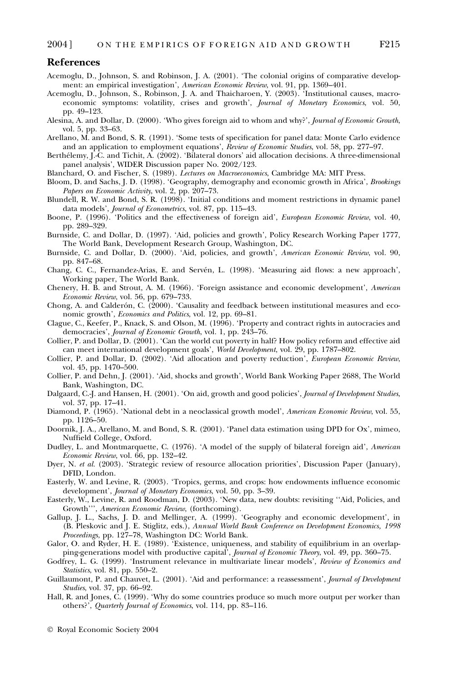## References

- Acemoglu, D., Johnson, S. and Robinson, J. A. (2001). 'The colonial origins of comparative development: an empirical investigation', American Economic Review, vol. 91, pp. 1369–401.
- Acemoglu, D., Johnson, S., Robinson, J. A. and Thaicharoen, Y. (2003). 'Institutional causes, macroeconomic symptoms: volatility, crises and growth', Journal of Monetary Economics, vol. 50, pp. 49–123.
- Alesina, A. and Dollar, D. (2000). 'Who gives foreign aid to whom and why?', Journal of Economic Growth, vol. 5, pp. 33–63.
- Arellano, M. and Bond, S. R. (1991). 'Some tests of specification for panel data: Monte Carlo evidence and an application to employment equations', Review of Economic Studies, vol. 58, pp. 277–97.
- Berthélemy, J.-C. and Tichit, A. (2002). 'Bilateral donors' aid allocation decisions. A three-dimensional panel analysis', WIDER Discussion paper No. 2002/123.
- Blanchard, O. and Fischer, S. (1989). Lectures on Macroeconomics, Cambridge MA: MIT Press.
- Bloom, D. and Sachs, J. D. (1998). 'Geography, demography and economic growth in Africa', Brookings Papers on Economic Activity, vol. 2, pp. 207–73.
- Blundell, R. W. and Bond, S. R. (1998). 'Initial conditions and moment restrictions in dynamic panel data models', Journal of Econometrics, vol. 87, pp. 115–43.
- Boone, P. (1996). 'Politics and the effectiveness of foreign aid', European Economic Review, vol. 40, pp. 289–329.
- Burnside, C. and Dollar, D. (1997). 'Aid, policies and growth', Policy Research Working Paper 1777, The World Bank, Development Research Group, Washington, DC.
- Burnside, C. and Dollar, D. (2000). 'Aid, policies, and growth', American Economic Review, vol. 90, pp. 847–68.
- Chang, C. C., Fernandez-Arias, E. and Servén, L. (1998). 'Measuring aid flows: a new approach', Working paper, The World Bank.
- Chenery, H. B. and Strout, A. M. (1966). 'Foreign assistance and economic development', American Economic Review, vol. 56, pp. 679–733.
- Chong, A. and Calderón, C. (2000). 'Causality and feedback between institutional measures and economic growth', Economics and Politics, vol. 12, pp. 69–81.
- Clague, C., Keefer, P., Knack, S. and Olson, M. (1996). 'Property and contract rights in autocracies and democracies', Journal of Economic Growth, vol. 1, pp. 243–76.
- Collier, P. and Dollar, D. (2001). 'Can the world cut poverty in half? How policy reform and effective aid can meet international development goals', World Development, vol. 29, pp. 1787–802.
- Collier, P. and Dollar, D. (2002). 'Aid allocation and poverty reduction', European Economic Review, vol. 45, pp. 1470–500.
- Collier, P. and Dehn, J. (2001). 'Aid, shocks and growth', World Bank Working Paper 2688, The World Bank, Washington, DC.
- Dalgaard, C.-J. and Hansen, H. (2001). 'On aid, growth and good policies', Journal of Development Studies, vol. 37, pp. 17–41.
- Diamond, P. (1965). 'National debt in a neoclassical growth model', American Economic Review, vol. 55, pp. 1126–50.
- Doornik, J. A., Arellano, M. and Bond, S. R. (2001). 'Panel data estimation using DPD for Ox', mimeo, Nuffield College, Oxford.
- Dudley, L. and Montmarquette, C. (1976). 'A model of the supply of bilateral foreign aid', American Economic Review, vol. 66, pp. 132–42.
- Dyer, N. et al. (2003). 'Strategic review of resource allocation priorities', Discussion Paper (January), DFID, London.
- Easterly, W. and Levine, R. (2003). 'Tropics, germs, and crops: how endowments influence economic development', Journal of Monetary Economics, vol. 50, pp. 3–39.
- Easterly, W., Levine, R. and Roodman, D. (2003). 'New data, new doubts: revisiting ''Aid, Policies, and Growth''', American Economic Review, (forthcoming).
- Gallup, J. L., Sachs, J. D. and Mellinger, A. (1999). 'Geography and economic development', in (B. Pleskovic and J. E. Stiglitz, eds.), Annual World Bank Conference on Development Economics, 1998 Proceedings, pp. 127-78, Washington DC: World Bank.
- Galor, O. and Ryder, H. E. (1989). 'Existence, uniqueness, and stability of equilibrium in an overlapping-generations model with productive capital', Journal of Economic Theory, vol. 49, pp. 360–75.
- Godfrey, L. G. (1999). 'Instrument relevance in multivariate linear models', Review of Economics and Statistics, vol. 81, pp. 550–2.
- Guillaumont, P. and Chauvet, L. (2001). 'Aid and performance: a reassessment', Journal of Development Studies, vol. 37, pp. 66–92.
- Hall, R. and Jones, C. (1999). 'Why do some countries produce so much more output per worker than others?', Quarterly Journal of Economics, vol. 114, pp. 83–116.